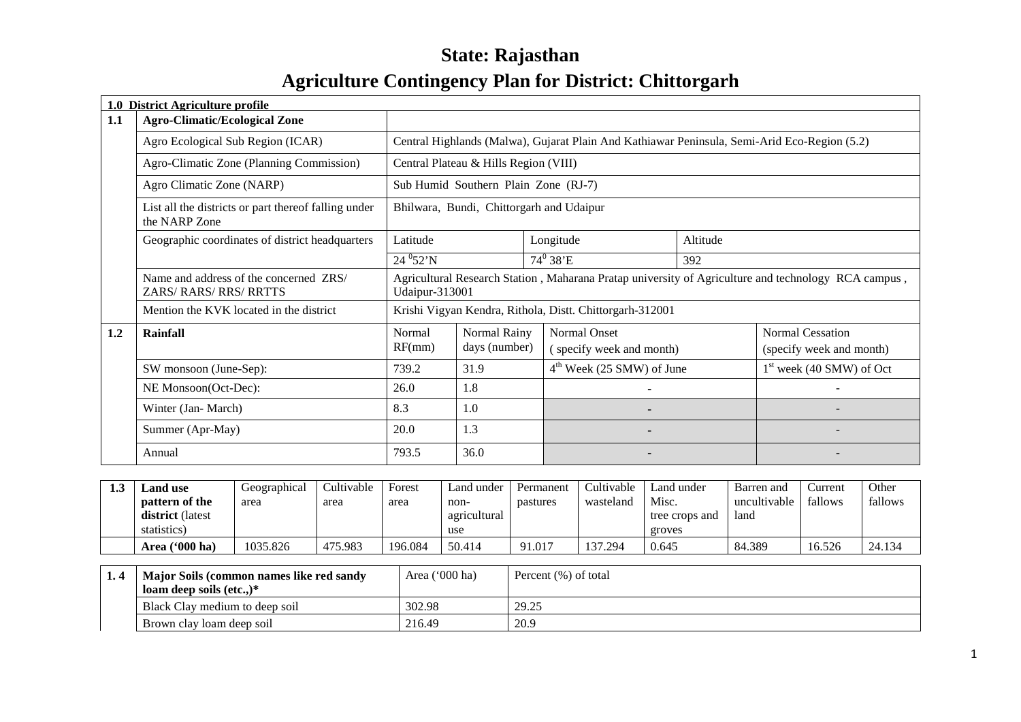## **State: RajasthanAgriculture Contingency Plan for District: Chittorgarh**

|     | 1.0 District Agriculture profile                                        |                                                                                                                              |                                          |  |                                                                                              |          |                            |
|-----|-------------------------------------------------------------------------|------------------------------------------------------------------------------------------------------------------------------|------------------------------------------|--|----------------------------------------------------------------------------------------------|----------|----------------------------|
| 1.1 | <b>Agro-Climatic/Ecological Zone</b>                                    |                                                                                                                              |                                          |  |                                                                                              |          |                            |
|     | Agro Ecological Sub Region (ICAR)                                       |                                                                                                                              |                                          |  | Central Highlands (Malwa), Gujarat Plain And Kathiawar Peninsula, Semi-Arid Eco-Region (5.2) |          |                            |
|     | Agro-Climatic Zone (Planning Commission)                                |                                                                                                                              | Central Plateau & Hills Region (VIII)    |  |                                                                                              |          |                            |
|     | Agro Climatic Zone (NARP)                                               |                                                                                                                              | Sub Humid Southern Plain Zone (RJ-7)     |  |                                                                                              |          |                            |
|     | List all the districts or part thereof falling under<br>the NARP Zone   |                                                                                                                              | Bhilwara, Bundi, Chittorgarh and Udaipur |  |                                                                                              |          |                            |
|     | Geographic coordinates of district headquarters                         | Latitude                                                                                                                     |                                          |  | Longitude                                                                                    | Altitude |                            |
|     |                                                                         | $24\,^{0}52'$ N                                                                                                              |                                          |  | $74^{\rm 0}$ 38'E                                                                            | 392      |                            |
|     | Name and address of the concerned ZRS/<br><b>ZARS/ RARS/ RRS/ RRTTS</b> | Agricultural Research Station, Maharana Pratap university of Agriculture and technology RCA campus,<br><b>Udaipur-313001</b> |                                          |  |                                                                                              |          |                            |
|     | Mention the KVK located in the district                                 |                                                                                                                              |                                          |  | Krishi Vigyan Kendra, Rithola, Distt. Chittorgarh-312001                                     |          |                            |
| 1.2 | Rainfall                                                                | Normal                                                                                                                       | Normal Rainy                             |  | Normal Onset                                                                                 |          | <b>Normal Cessation</b>    |
|     |                                                                         | RF(mm)                                                                                                                       | days (number)                            |  | (specify week and month)                                                                     |          | (specify week and month)   |
|     | SW monsoon (June-Sep):                                                  | 739.2                                                                                                                        | 31.9                                     |  | $4th$ Week (25 SMW) of June                                                                  |          | $1st$ week (40 SMW) of Oct |
|     | NE Monsoon(Oct-Dec):                                                    | 26.0                                                                                                                         | 1.8                                      |  | ٠                                                                                            |          |                            |
|     | Winter (Jan-March)                                                      | 8.3                                                                                                                          | 1.0                                      |  | -                                                                                            |          |                            |
|     | Summer (Apr-May)                                                        | 20.0                                                                                                                         | 1.3                                      |  |                                                                                              |          |                            |
|     | Annual                                                                  | 793.5                                                                                                                        | 36.0                                     |  |                                                                                              |          |                            |

| ن د | ∟and use                | Geographical | Cultivable | Forest  | Land under   | Permanent | Cultivable | and under      | Barren and   | ∠urrent | Other   |
|-----|-------------------------|--------------|------------|---------|--------------|-----------|------------|----------------|--------------|---------|---------|
|     | pattern of the          | area         | area       | area    | non-         | pastures  | wasteland  | Misc.          | uncultivable | fallows | fallows |
|     | <b>district</b> (latest |              |            |         | agricultural |           |            | tree crops and | land         |         |         |
|     | statistics)             |              |            |         | use          |           |            | groves         |              |         |         |
|     | Area $(900)$ ha)        | 1035.826     | 475.983    | 196.084 | 50.414       | 91.017    | 137.294    | 0.645          | 84.389       | 16.526  | 24.134  |

| Major Soils (common names like red sandy<br>loam deep soils $(\text{etc.})^*$ | Area $('000 ha)$ | Percent (%) of total |
|-------------------------------------------------------------------------------|------------------|----------------------|
| Black Clay medium to deep soil                                                | 302.98           | 29.25                |
| Brown clay loam deep soil                                                     | 216.49           | 20.9                 |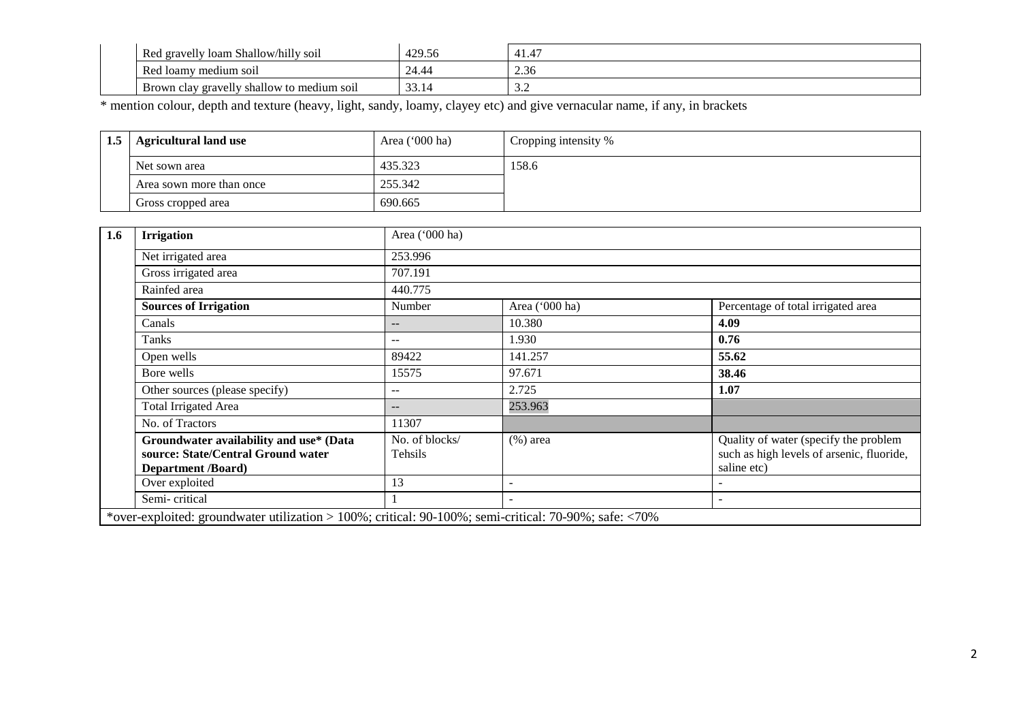| <br>Red gravelly<br>loam Shallow/hilly soil | 429.56 | $\overline{A}$<br>41.4 |
|---------------------------------------------|--------|------------------------|
| Red loamy<br>medium soil                    | 24.44  | 2.36                   |
| Brown clay gravelly shallow to medium soil  | JJ.I   | ، ب                    |

\* mention colour, depth and texture (heavy, light, sandy, loamy, clayey etc) and give vernacular name, if any, in brackets

| 1.5 | Agricultural land use    | Area $('000 ha)$ | Cropping intensity % |
|-----|--------------------------|------------------|----------------------|
|     | Net sown area            | 435.323          | 158.6                |
|     | Area sown more than once | 255.342          |                      |
|     | Gross cropped area       | 690.665          |                      |

| 1.6 | <b>Irrigation</b>                                                                                          | Area ('000 ha)            |                |                                                                                                   |
|-----|------------------------------------------------------------------------------------------------------------|---------------------------|----------------|---------------------------------------------------------------------------------------------------|
|     | Net irrigated area                                                                                         | 253.996                   |                |                                                                                                   |
|     | Gross irrigated area                                                                                       | 707.191                   |                |                                                                                                   |
|     | Rainfed area                                                                                               | 440.775                   |                |                                                                                                   |
|     | <b>Sources of Irrigation</b>                                                                               | Number                    | Area ('000 ha) | Percentage of total irrigated area                                                                |
|     | Canals                                                                                                     | --                        | 10.380         | 4.09                                                                                              |
|     | Tanks                                                                                                      | --                        | 1.930          | 0.76                                                                                              |
|     | Open wells                                                                                                 | 89422                     | 141.257        | 55.62                                                                                             |
|     | Bore wells                                                                                                 | 15575                     | 97.671         | 38.46                                                                                             |
|     | Other sources (please specify)                                                                             | --                        | 2.725          | 1.07                                                                                              |
|     | Total Irrigated Area                                                                                       | --                        | 253.963        |                                                                                                   |
|     | No. of Tractors                                                                                            | 11307                     |                |                                                                                                   |
|     | Groundwater availability and use* (Data<br>source: State/Central Ground water<br><b>Department</b> /Board) | No. of blocks/<br>Tehsils | $(\%)$ area    | Quality of water (specify the problem<br>such as high levels of arsenic, fluoride,<br>saline etc) |
|     | Over exploited                                                                                             | 13                        |                |                                                                                                   |
|     | Semi-critical                                                                                              |                           |                |                                                                                                   |
|     | *over-exploited: groundwater utilization > 100%; critical: 90-100%; semi-critical: 70-90%; safe: <70%      |                           |                |                                                                                                   |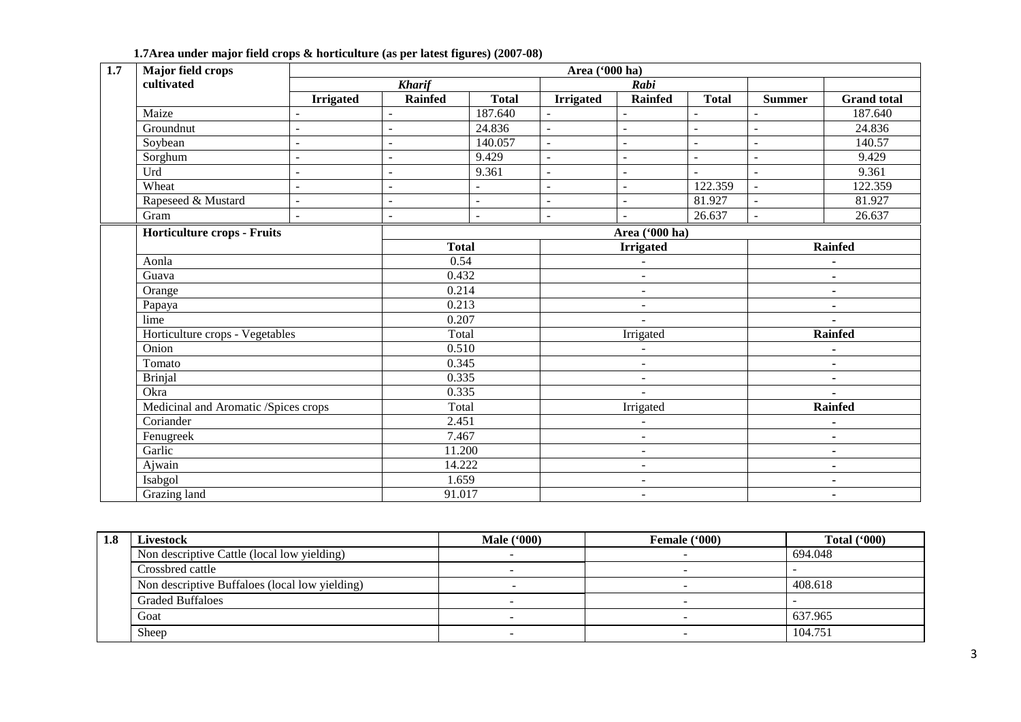| 1.7<br>Major field crops             |                          | Area ('000 ha)           |               |                          |                          |                |                |                    |  |
|--------------------------------------|--------------------------|--------------------------|---------------|--------------------------|--------------------------|----------------|----------------|--------------------|--|
| cultivated                           |                          | <b>Kharif</b>            |               |                          | Rabi                     |                |                |                    |  |
|                                      | <b>Irrigated</b>         | <b>Rainfed</b>           | <b>Total</b>  | <b>Irrigated</b>         | <b>Rainfed</b>           | <b>Total</b>   | <b>Summer</b>  | <b>Grand</b> total |  |
| Maize                                |                          | $\overline{a}$           | 187.640       |                          |                          |                |                | 187.640            |  |
| Groundnut                            |                          | $\overline{a}$           | 24.836        | $\sim$                   | $\overline{a}$           | ÷,             | $\mathbb{L}$   | 24.836             |  |
| Soybean                              | $\overline{\phantom{a}}$ | $\overline{\phantom{a}}$ | 140.057       | $\blacksquare$           | $\overline{a}$           | $\overline{a}$ | $\blacksquare$ | 140.57             |  |
| Sorghum                              | $\overline{a}$           | $\overline{a}$           | 9.429         | $\equiv$                 | $\overline{a}$           | $\overline{a}$ | $\sim$         | 9.429              |  |
| Urd                                  | $\overline{a}$           | $\overline{\phantom{a}}$ | 9.361         | $\equiv$                 | $\overline{a}$           | $\overline{a}$ | $\sim$         | 9.361              |  |
| Wheat                                | $\blacksquare$           | $\sim$                   | $\sim$        | $\sim$                   | $\overline{\phantom{a}}$ | 122.359        | $\sim$         | 122.359            |  |
| Rapeseed & Mustard                   | $\overline{a}$           | $\sim$                   | $\mathcal{L}$ | $\sim$                   | $\overline{\phantom{a}}$ | 81.927         | $\sim$         | 81.927             |  |
| Gram                                 | $\overline{\phantom{a}}$ | $\blacksquare$           | $\sim$        | $\sim$                   | ÷.                       | 26.637         | $\omega$       | 26.637             |  |
| Horticulture crops - Fruits          |                          | Area ('000 ha)           |               |                          |                          |                |                |                    |  |
|                                      |                          |                          | <b>Total</b>  |                          | <b>Irrigated</b>         |                |                | <b>Rainfed</b>     |  |
| Aonla                                |                          |                          | 0.54          |                          | $\overline{a}$           |                |                | ٠                  |  |
| Guava                                |                          | 0.432                    |               |                          | $\mathbf{r}$             |                |                | $\blacksquare$     |  |
| Orange                               |                          | 0.214                    |               |                          | $\overline{\phantom{a}}$ |                |                | ٠                  |  |
| Papaya                               |                          | 0.213                    |               | $\overline{\phantom{a}}$ |                          |                | $\blacksquare$ |                    |  |
| lime                                 |                          |                          | 0.207         |                          | $\overline{\phantom{a}}$ |                |                | ۰                  |  |
| Horticulture crops - Vegetables      |                          | Total                    |               | Irrigated                |                          |                | <b>Rainfed</b> |                    |  |
| Onion                                |                          | 0.510                    |               | $\overline{\phantom{a}}$ |                          |                | ٠              |                    |  |
| Tomato                               |                          | 0.345                    |               |                          | $\overline{a}$           |                |                | $\blacksquare$     |  |
| <b>Brinjal</b>                       |                          | 0.335                    |               |                          | ÷,                       |                |                | $\blacksquare$     |  |
| Okra                                 |                          | 0.335                    |               |                          | $\overline{a}$           |                |                | $\blacksquare$     |  |
| Medicinal and Aromatic /Spices crops |                          | Total                    |               |                          | Irrigated                |                |                | <b>Rainfed</b>     |  |
| Coriander                            |                          | 2.451                    |               |                          |                          |                |                |                    |  |
| Fenugreek                            |                          | 7.467                    |               |                          | $\overline{\phantom{a}}$ |                |                | ۰                  |  |
| Garlic                               |                          | 11.200                   |               |                          | $\overline{\phantom{a}}$ |                |                | ۰                  |  |
| Ajwain                               |                          | 14.222                   |               |                          | $\overline{\phantom{a}}$ |                |                | $\blacksquare$     |  |
| Isabgol                              |                          | 1.659                    |               |                          | $\overline{a}$           |                |                | $\blacksquare$     |  |
| Grazing land                         |                          | 91.017                   |               | $\overline{\phantom{a}}$ |                          |                | $\blacksquare$ |                    |  |

#### **1.7Area under major field crops & horticulture (as per latest figures) (2007-08)**

| 1.8 | <b>Livestock</b>                               | <b>Male</b> ('000) | Female ('000) | Total $(900)$ |
|-----|------------------------------------------------|--------------------|---------------|---------------|
|     | Non descriptive Cattle (local low yielding)    |                    |               | 694.048       |
|     | Crossbred cattle                               |                    |               |               |
|     | Non descriptive Buffaloes (local low yielding) |                    |               | 408.618       |
|     | <b>Graded Buffaloes</b>                        |                    |               |               |
|     | Goat                                           |                    |               | 637.965       |
|     | Sheep                                          |                    | -             | 104.751       |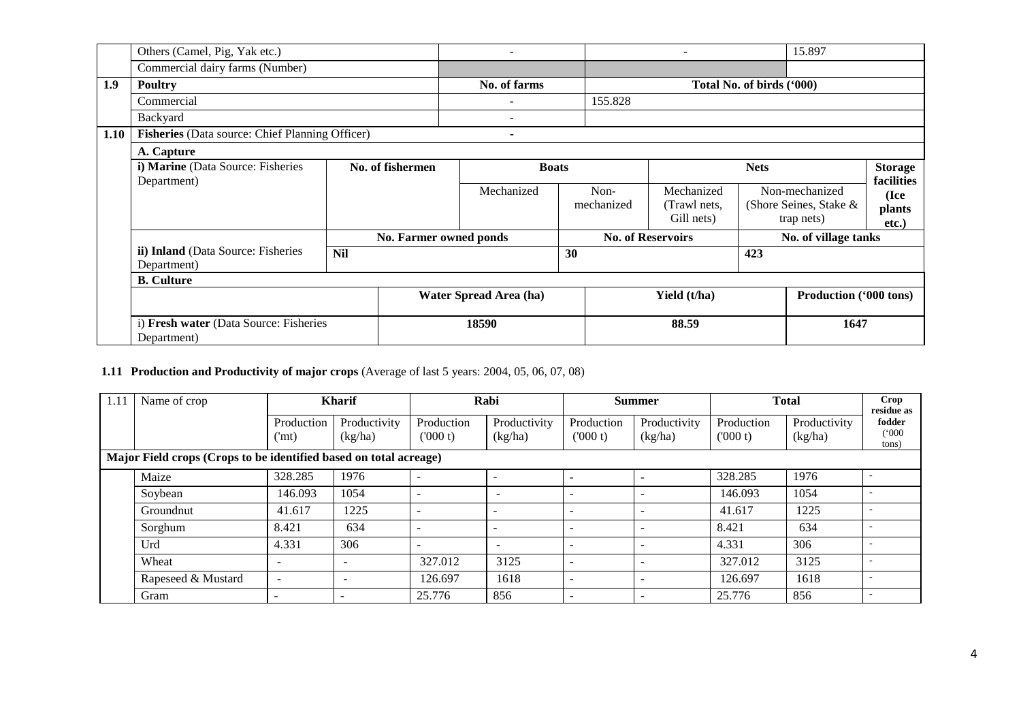|      | Others (Camel, Pig, Yak etc.)                         |                  |                        | $\overline{\phantom{0}}$            |            | $\overline{\phantom{0}}$ |                           | 15.897                        |                 |
|------|-------------------------------------------------------|------------------|------------------------|-------------------------------------|------------|--------------------------|---------------------------|-------------------------------|-----------------|
|      | Commercial dairy farms (Number)                       |                  |                        |                                     |            |                          |                           |                               |                 |
| 1.9  | <b>Poultry</b>                                        |                  |                        | No. of farms                        |            |                          | Total No. of birds ('000) |                               |                 |
|      | Commercial                                            |                  |                        | 155.828<br>$\overline{\phantom{a}}$ |            |                          |                           |                               |                 |
|      | Backyard                                              |                  |                        | $\qquad \qquad \blacksquare$        |            |                          |                           |                               |                 |
| 1.10 | Fisheries (Data source: Chief Planning Officer)       |                  |                        | $\blacksquare$                      |            |                          |                           |                               |                 |
|      | A. Capture                                            |                  |                        |                                     |            |                          |                           |                               |                 |
|      | i) Marine (Data Source: Fisheries                     | No. of fishermen |                        | <b>Boats</b>                        |            | <b>Nets</b>              |                           | <b>Storage</b>                |                 |
|      | Department)                                           |                  |                        | Mechanized                          | Non-       | Mechanized               |                           | Non-mechanized                | facilities      |
|      |                                                       |                  |                        |                                     | mechanized | (Trawl nets,             |                           | (Shore Seines, Stake &        | (Ice            |
|      |                                                       |                  |                        |                                     |            | Gill nets)               |                           | trap nets)                    | plants<br>etc.) |
|      |                                                       |                  | No. Farmer owned ponds |                                     |            | <b>No. of Reservoirs</b> |                           | No. of village tanks          |                 |
|      | ii) Inland (Data Source: Fisheries                    | <b>Nil</b>       |                        |                                     | 30         |                          | 423                       |                               |                 |
|      | Department)                                           |                  |                        |                                     |            |                          |                           |                               |                 |
|      | <b>B.</b> Culture                                     |                  |                        |                                     |            | Yield (t/ha)             |                           |                               |                 |
|      |                                                       |                  |                        | Water Spread Area (ha)              |            |                          |                           | <b>Production ('000 tons)</b> |                 |
|      | i) Fresh water (Data Source: Fisheries<br>Department) |                  |                        | 18590                               |            | 88.59                    |                           | 1647                          |                 |

#### **1.11 Production and Productivity of major crops** (Average of last 5 years: 2004, 05, 06, 07, 08)

| 1.11                                                              | Name of crop       |                          | <b>Kharif</b>            |                          | Rabi                     | <b>Summer</b>         |                         | <b>Total</b>          |                         | Crop<br>residue as       |
|-------------------------------------------------------------------|--------------------|--------------------------|--------------------------|--------------------------|--------------------------|-----------------------|-------------------------|-----------------------|-------------------------|--------------------------|
|                                                                   |                    | Production<br>('mt)      | Productivity<br>(kg/ha)  | Production<br>(000 t)    | Productivity<br>(kg/ha)  | Production<br>(000 t) | Productivity<br>(kg/ha) | Production<br>(000 t) | Productivity<br>(kg/ha) | fodder<br>(000)<br>tons) |
| Major Field crops (Crops to be identified based on total acreage) |                    |                          |                          |                          |                          |                       |                         |                       |                         |                          |
|                                                                   | Maize              | 328.285                  | 1976                     | $\overline{\phantom{a}}$ | $\overline{\phantom{a}}$ |                       |                         | 328.285               | 1976                    |                          |
|                                                                   | Soybean            | 146.093                  | 1054                     | $\overline{\phantom{a}}$ | $\overline{\phantom{a}}$ |                       |                         | 146.093               | 1054                    |                          |
|                                                                   | Groundnut          | 41.617                   | 1225                     | $\overline{\phantom{a}}$ | $\overline{\phantom{0}}$ |                       | -                       | 41.617                | 1225                    |                          |
|                                                                   | Sorghum            | 8.421                    | 634                      | $\overline{\phantom{a}}$ | $\overline{\phantom{0}}$ |                       | -                       | 8.421                 | 634                     |                          |
|                                                                   | Urd                | 4.331                    | 306                      | $\overline{\phantom{a}}$ | $\overline{\phantom{0}}$ |                       |                         | 4.331                 | 306                     |                          |
|                                                                   | Wheat              | $\overline{\phantom{a}}$ | $\overline{\phantom{a}}$ | 327.012                  | 3125                     | -                     | -                       | 327.012               | 3125                    |                          |
|                                                                   | Rapeseed & Mustard | $\overline{\phantom{a}}$ | $\overline{\phantom{a}}$ | 126.697                  | 1618                     |                       |                         | 126.697               | 1618                    |                          |
|                                                                   | Gram               |                          |                          | 25.776                   | 856                      |                       |                         | 25.776                | 856                     |                          |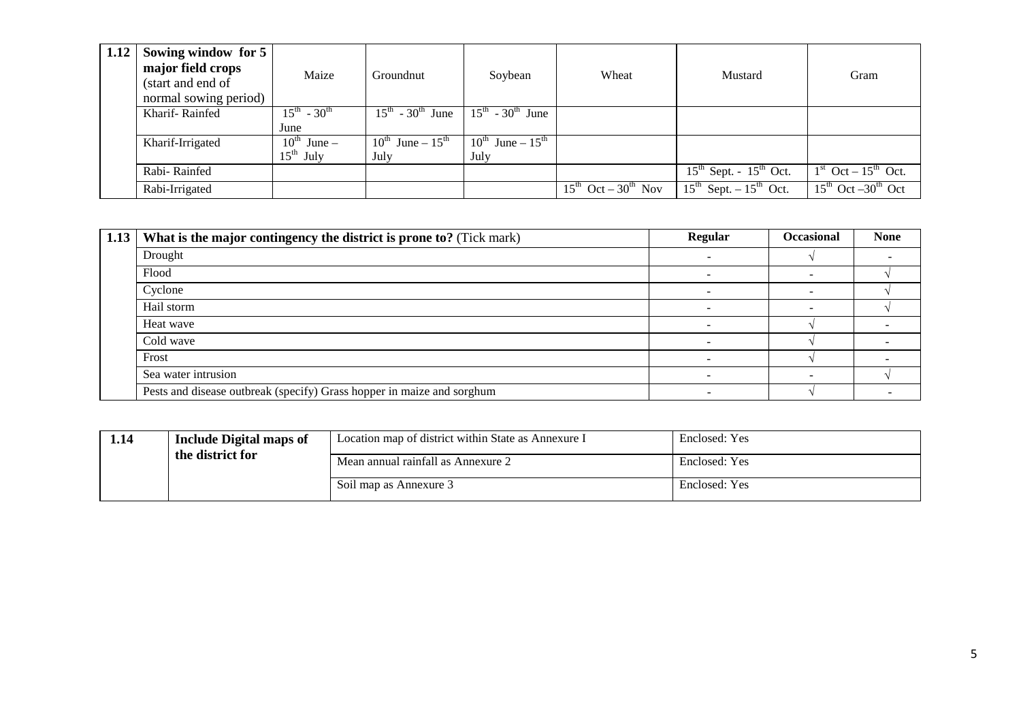| 1.12 | Sowing window for 5<br>major field crops<br>(start and end of<br>normal sowing period) | Maize                        | Groundnut                         | Soybean                           | Wheat                                       | Mustard                                       | Gram                                       |
|------|----------------------------------------------------------------------------------------|------------------------------|-----------------------------------|-----------------------------------|---------------------------------------------|-----------------------------------------------|--------------------------------------------|
|      | Kharif-Rainfed                                                                         | $15^{th}$ - 30 <sup>th</sup> | $15^{th}$ - 30 <sup>th</sup> June | $15^{th}$ - 30 <sup>th</sup> June |                                             |                                               |                                            |
|      |                                                                                        | June                         |                                   |                                   |                                             |                                               |                                            |
|      | Kharif-Irrigated                                                                       | $10^{\text{th}}$ June –      | $10^{th}$ June – $15^{th}$        | $10^{th}$ June – $15^{th}$        |                                             |                                               |                                            |
|      |                                                                                        | $15^{\text{th}}$ July        | July                              | July                              |                                             |                                               |                                            |
|      | Rabi-Rainfed                                                                           |                              |                                   |                                   |                                             | $15th$ Sept. - $15th$ Oct.                    | $1st$ Oct – $15th$ Oct.                    |
|      | Rabi-Irrigated                                                                         |                              |                                   |                                   | $15^{\text{th}}$ Oct – $30^{\text{th}}$ Nov | $15^{\text{th}}$ Sept. $-15^{\text{th}}$ Oct. | $15^{\text{th}}$ Oct $-30^{\text{th}}$ Oct |

| 1.13 | What is the major contingency the district is prone to? (Tick mark)    | <b>Regular</b>           | <b>Occasional</b> | <b>None</b> |
|------|------------------------------------------------------------------------|--------------------------|-------------------|-------------|
|      | Drought                                                                |                          |                   |             |
|      | Flood                                                                  |                          |                   |             |
|      | Cyclone                                                                | $\overline{\phantom{a}}$ |                   |             |
|      | Hail storm                                                             |                          |                   |             |
|      | Heat wave                                                              |                          |                   |             |
|      | Cold wave                                                              |                          |                   |             |
|      | Frost                                                                  |                          |                   |             |
|      | Sea water intrusion                                                    | -                        |                   |             |
|      | Pests and disease outbreak (specify) Grass hopper in maize and sorghum |                          |                   |             |

| 1.14             | <b>Include Digital maps of</b> | Location map of district within State as Annexure I | Enclosed: Yes |
|------------------|--------------------------------|-----------------------------------------------------|---------------|
| the district for |                                | Mean annual rainfall as Annexure 2                  | Enclosed: Yes |
|                  |                                | Soil map as Annexure 3                              | Enclosed: Yes |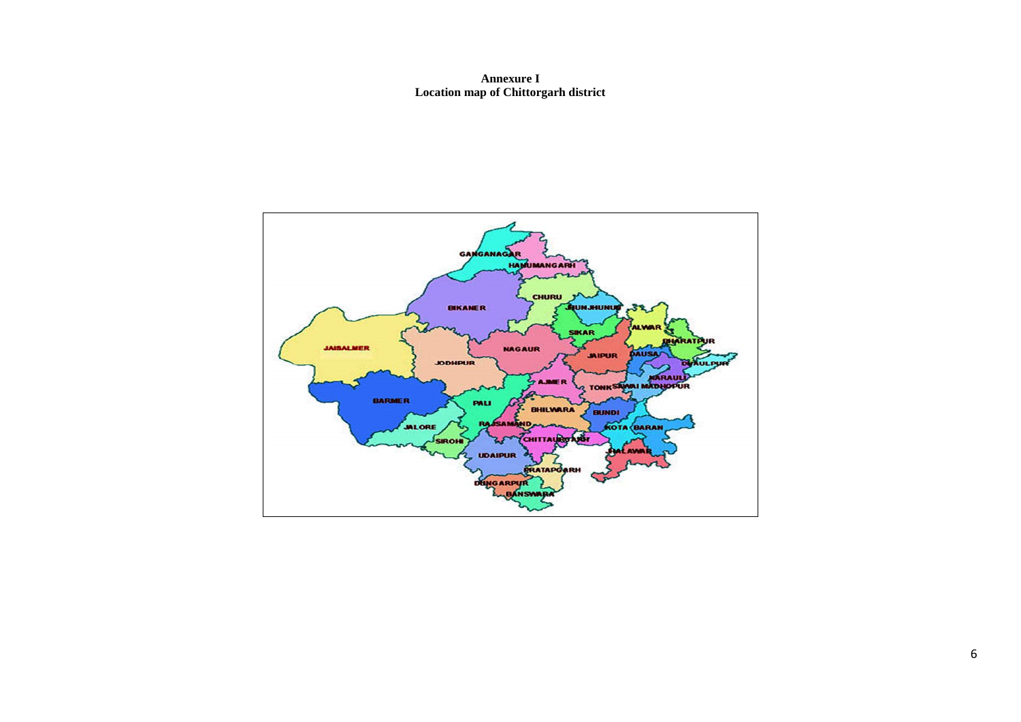**Annexure I Location map of Chittorgarh district** 

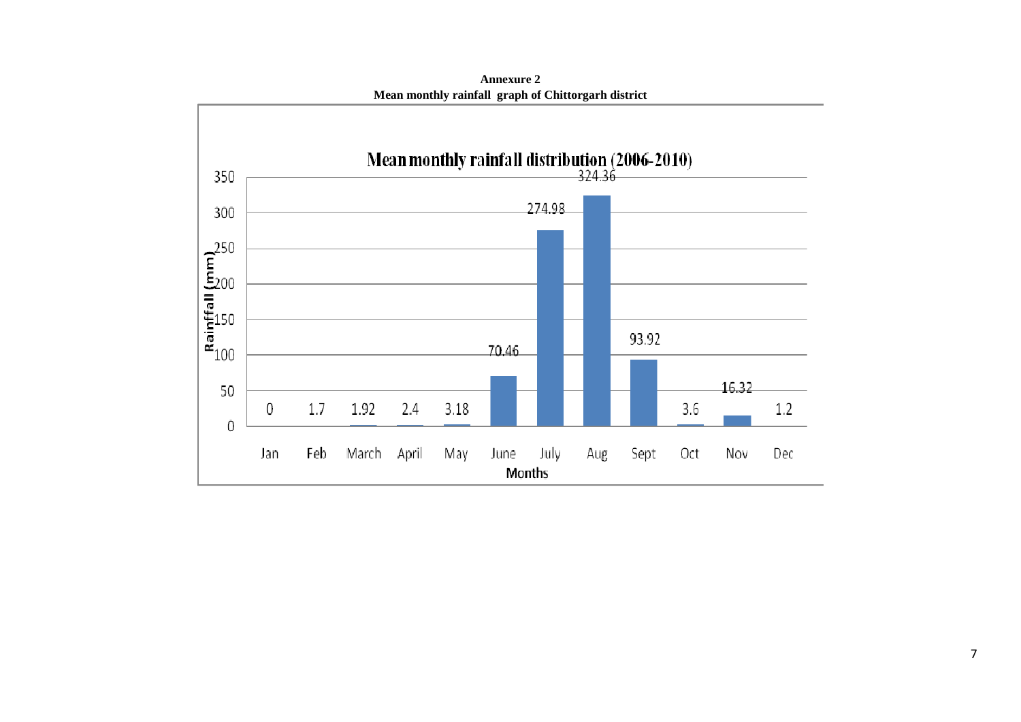

**Annexure 2Mean monthly rainfall graph of Chittorgarh district**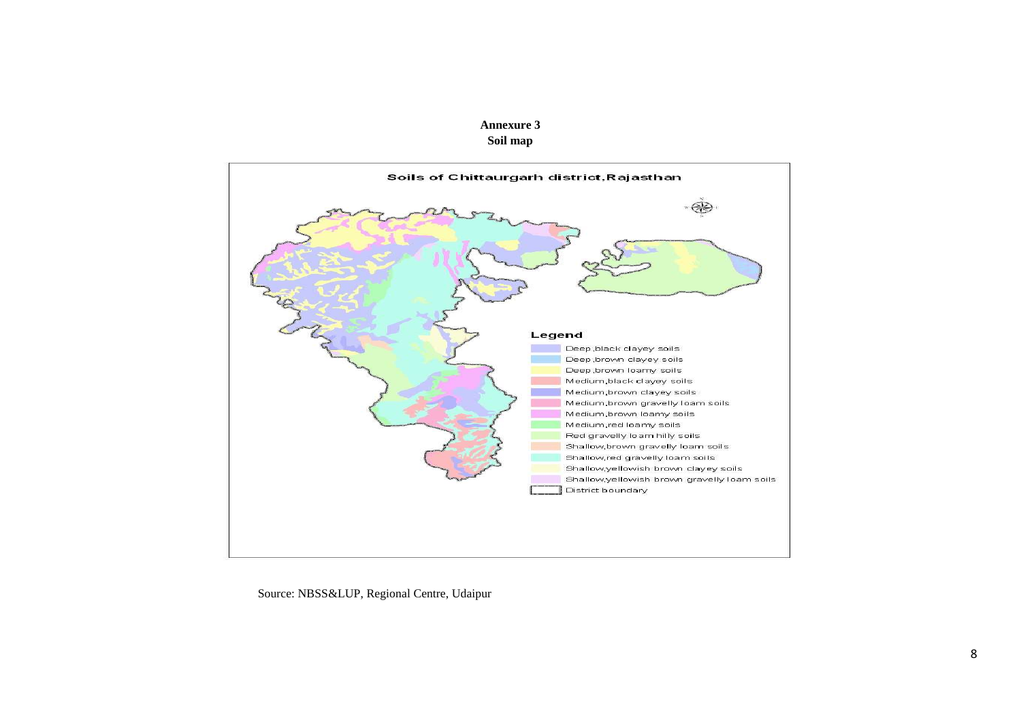



Source: NBSS&LUP, Regional Centre, Udaipur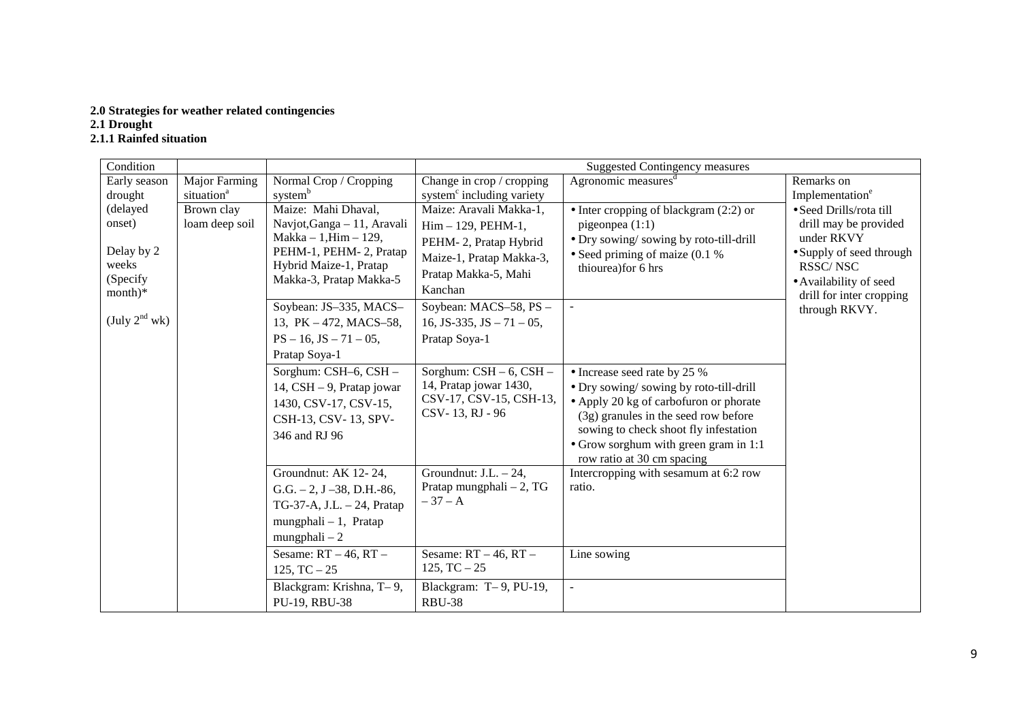# **2.0 Strategies for weather related contingencies 2.1 Drought**

### **2.1.1 Rainfed situation**

| Condition          |                        |                                                   |                                       | <b>Suggested Contingency measures</b>                               |                                                    |
|--------------------|------------------------|---------------------------------------------------|---------------------------------------|---------------------------------------------------------------------|----------------------------------------------------|
| Early season       | Major Farming          | Normal Crop / Cropping                            | Change in crop / cropping             | Agronomic measures <sup>d</sup>                                     | Remarks on                                         |
| drought            | situation <sup>a</sup> | system <sup>b</sup>                               | system <sup>c</sup> including variety |                                                                     | Implementation <sup>e</sup>                        |
| (delayed           | Brown clay             | Maize: Mahi Dhaval,                               | Maize: Aravali Makka-1,               | $\bullet$ Inter cropping of blackgram (2:2) or                      | · Seed Drills/rota till                            |
| onset)             | loam deep soil         | Navjot, Ganga - 11, Aravali                       | $Him - 129$ , PEHM-1,                 | pigeonpea $(1:1)$                                                   | drill may be provided                              |
|                    |                        | $Makka - 1, Him - 129,$                           | PEHM-2, Pratap Hybrid                 | • Dry sowing/sowing by roto-till-drill                              | under RKVY                                         |
| Delay by 2         |                        | PEHM-1, PEHM-2, Pratap                            | Maize-1, Pratap Makka-3,              | • Seed priming of maize $(0.1\%$                                    | • Supply of seed through                           |
| weeks<br>(Specify  |                        | Hybrid Maize-1, Pratap<br>Makka-3, Pratap Makka-5 | Pratap Makka-5, Mahi                  | thiourea) for 6 hrs                                                 | RSSC/NSC                                           |
| $month)*$          |                        |                                                   | Kanchan                               |                                                                     | • Availability of seed<br>drill for inter cropping |
|                    |                        | Soybean: JS-335, MACS-                            | Soybean: MACS-58, PS -                | $\equiv$                                                            | through RKVY.                                      |
| (July $2^{nd}$ wk) |                        | 13, PK - 472, MACS-58,                            | 16, JS-335, JS $-71-05$ ,             |                                                                     |                                                    |
|                    |                        | $PS - 16$ , $JS - 71 - 05$ ,                      | Pratap Soya-1                         |                                                                     |                                                    |
|                    |                        | Pratap Soya-1                                     |                                       |                                                                     |                                                    |
|                    |                        | Sorghum: CSH-6, CSH -                             | Sorghum: $CSH - 6$ , $CSH -$          | • Increase seed rate by 25 %                                        |                                                    |
|                    |                        | 14, CSH - 9, Pratap jowar                         | 14, Pratap jowar 1430,                | • Dry sowing/sowing by roto-till-drill                              |                                                    |
|                    |                        | 1430, CSV-17, CSV-15,                             | CSV-17, CSV-15, CSH-13,               | • Apply 20 kg of carbofuron or phorate                              |                                                    |
|                    |                        | CSH-13, CSV-13, SPV-                              | CSV-13, RJ - 96                       | (3g) granules in the seed row before                                |                                                    |
|                    |                        | 346 and RJ 96                                     |                                       | sowing to check shoot fly infestation                               |                                                    |
|                    |                        |                                                   |                                       | • Grow sorghum with green gram in 1:1<br>row ratio at 30 cm spacing |                                                    |
|                    |                        | Groundnut: AK 12-24,                              | Groundnut: J.L. $-24$ ,               | Intercropping with sesamum at 6:2 row                               |                                                    |
|                    |                        | $G.G. - 2, J - 38, D.H. -86,$                     | Pratap mungphali $-2$ , TG            | ratio.                                                              |                                                    |
|                    |                        | TG-37-A, J.L. - 24, Pratap                        | $-37 - A$                             |                                                                     |                                                    |
|                    |                        | $mungphali - 1$ , Pratap                          |                                       |                                                                     |                                                    |
|                    |                        | $mungphali - 2$                                   |                                       |                                                                     |                                                    |
|                    |                        | Sesame: $RT - 46$ , $RT -$                        | Sesame: $RT-46, RT-$                  | Line sowing                                                         |                                                    |
|                    |                        | $125, TC - 25$                                    | $125, TC - 25$                        |                                                                     |                                                    |
|                    |                        | Blackgram: Krishna, T-9,                          | Blackgram: T-9, PU-19,                | $\overline{a}$                                                      |                                                    |
|                    |                        | PU-19, RBU-38                                     | <b>RBU-38</b>                         |                                                                     |                                                    |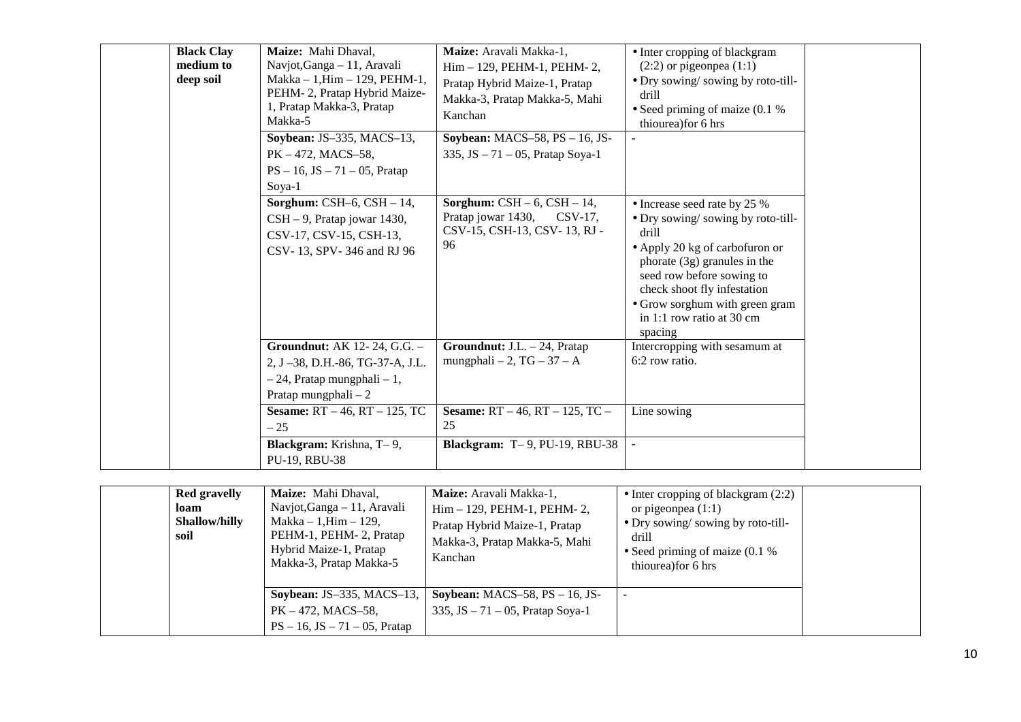| <b>Black Clay</b><br>medium to<br>deep soil | Maize: Mahi Dhaval,<br>Navjot, Ganga - 11, Aravali<br>$Makka - 1, Him - 129, PEHM-1,$<br>PEHM-2, Pratap Hybrid Maize-<br>1, Pratap Makka-3, Pratap<br>Makka-5 | Maize: Aravali Makka-1,<br>Him - 129, PEHM-1, PEHM-2,<br>Pratap Hybrid Maize-1, Pratap<br>Makka-3, Pratap Makka-5, Mahi<br>Kanchan | • Inter cropping of blackgram<br>$(2:2)$ or pigeonpea $(1:1)$<br>• Dry sowing/sowing by roto-till-<br>drill<br>• Seed priming of maize $(0.1\%$<br>thiourea) for 6 hrs                                                                                                               |  |
|---------------------------------------------|---------------------------------------------------------------------------------------------------------------------------------------------------------------|------------------------------------------------------------------------------------------------------------------------------------|--------------------------------------------------------------------------------------------------------------------------------------------------------------------------------------------------------------------------------------------------------------------------------------|--|
|                                             | Soybean: JS-335, MACS-13,<br>$PK - 472$ , MACS-58,<br>$PS - 16$ , $JS - 71 - 05$ , Pratap<br>Soya-1                                                           | Soybean: MACS-58, $PS - 16$ , JS-<br>335, JS $-71 - 05$ , Pratap Soya-1                                                            |                                                                                                                                                                                                                                                                                      |  |
|                                             | Sorghum: CSH $-6$ , CSH $-14$ ,<br>CSH - 9, Pratap jowar 1430,<br>CSV-17, CSV-15, CSH-13,<br>CSV-13, SPV-346 and RJ 96                                        | <b>Sorghum:</b> $CSH - 6$ , $CSH - 14$ ,<br>Pratap jowar 1430,<br>$CSV-17$ ,<br>CSV-15, CSH-13, CSV-13, RJ-<br>96                  | • Increase seed rate by 25 %<br>• Dry sowing/sowing by roto-till-<br>drill<br>• Apply 20 kg of carbofuron or<br>phorate $(3g)$ granules in the<br>seed row before sowing to<br>check shoot fly infestation<br>• Grow sorghum with green gram<br>in 1:1 row ratio at 30 cm<br>spacing |  |
|                                             | <b>Groundnut:</b> AK 12-24, G.G. -<br>2, J-38, D.H.-86, TG-37-A, J.L.<br>$-24$ , Pratap mungphali $-1$ ,<br>Pratap mungphali $-2$                             | Groundnut: J.L. - 24, Pratap<br>mungphali $-2$ , TG $-37 - A$                                                                      | Intercropping with sesamum at<br>6:2 row ratio.                                                                                                                                                                                                                                      |  |
|                                             | <b>Sesame:</b> $RT - 46$ , $RT - 125$ , TC<br>$-25$<br><b>Blackgram:</b> Krishna, T-9,<br>PU-19, RBU-38                                                       | <b>Sesame:</b> RT $-46$ , RT $-125$ , TC $-$<br>25<br><b>Blackgram:</b> $T-9$ , $PU-19$ , $RBU-38$                                 | Line sowing                                                                                                                                                                                                                                                                          |  |

| <b>Red gravelly</b><br>loam<br><b>Shallow/hilly</b><br>soil | <b>Maize:</b> Mahi Dhaval,<br>Navjot, Ganga – 11, Aravali<br>$Makka - 1, Him - 129,$<br>PEHM-1, PEHM-2, Pratap<br>Hybrid Maize-1, Pratap<br>Makka-3, Pratap Makka-5 | Maize: Aravali Makka-1,<br>Him - 129, PEHM-1, PEHM-2,<br>Pratap Hybrid Maize-1, Pratap<br>Makka-3, Pratap Makka-5, Mahi<br>Kanchan | • Inter cropping of blackgram $(2:2)$<br>or pigeonpea $(1:1)$<br>• Dry sowing/sowing by roto-till-<br>drill<br>• Seed priming of maize $(0.1\%$<br>thiourea) for 6 hrs |  |
|-------------------------------------------------------------|---------------------------------------------------------------------------------------------------------------------------------------------------------------------|------------------------------------------------------------------------------------------------------------------------------------|------------------------------------------------------------------------------------------------------------------------------------------------------------------------|--|
|                                                             | <b>Soybean: JS-335, MACS-13,</b><br>$PK - 472$ , MACS-58,<br>$PS - 16$ , $JS - 71 - 05$ , Pratap                                                                    | Soybean: $MACS-58$ , $PS-16$ , JS-<br>335, JS $-71 - 05$ , Pratap Soya-1                                                           |                                                                                                                                                                        |  |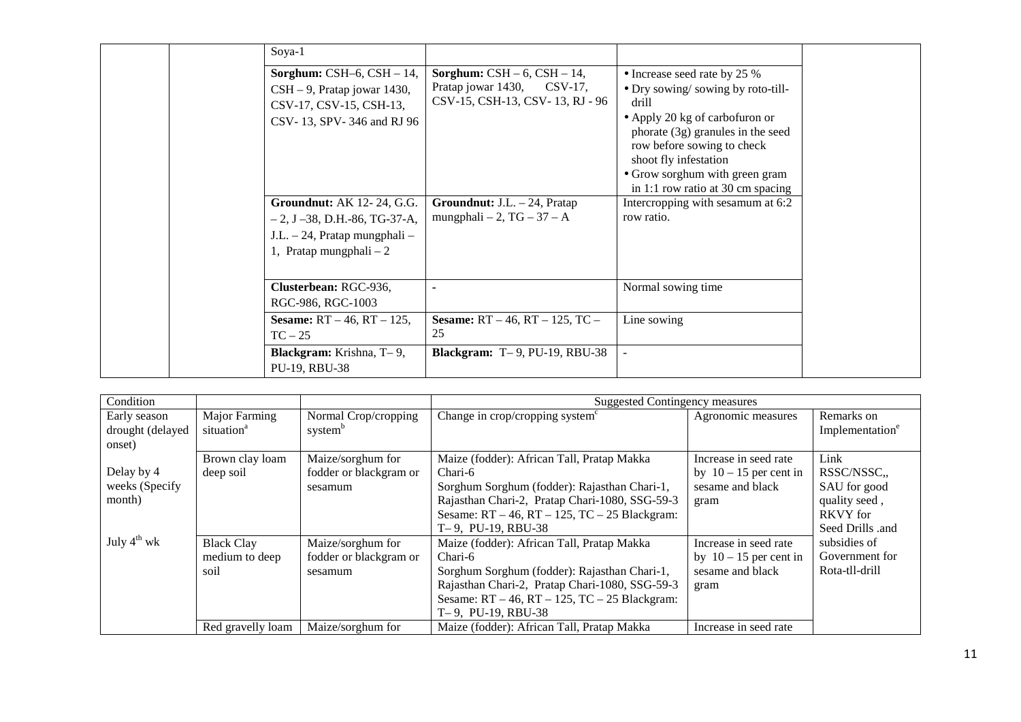| Soya-1                                                                                                                                      |                                                                                                           |                                                                                                                                                                                                                                                                                 |  |
|---------------------------------------------------------------------------------------------------------------------------------------------|-----------------------------------------------------------------------------------------------------------|---------------------------------------------------------------------------------------------------------------------------------------------------------------------------------------------------------------------------------------------------------------------------------|--|
| Sorghum: CSH $-6$ , CSH $-14$ ,<br>CSH – 9, Pratap jowar 1430,<br>CSV-17, CSV-15, CSH-13,<br>CSV-13, SPV-346 and RJ 96                      | <b>Sorghum:</b> $CSH - 6$ , $CSH - 14$ ,<br>Pratap jowar 1430, CSV-17,<br>CSV-15, CSH-13, CSV-13, RJ - 96 | • Increase seed rate by 25 %<br>• Dry sowing/sowing by roto-till-<br>drill<br>• Apply 20 kg of carbofuron or<br>phorate (3g) granules in the seed<br>row before sowing to check<br>shoot fly infestation<br>• Grow sorghum with green gram<br>in 1:1 row ratio at 30 cm spacing |  |
| <b>Groundnut:</b> AK 12-24, G.G.<br>$-2$ , J $-38$ , D.H. $-86$ , TG $-37$ -A,<br>J.L. - 24, Pratap mungphali -<br>1, Pratap mungphali $-2$ | <b>Groundnut:</b> J.L. $-$ 24, Pratap<br>mungphali $-2$ , TG $-37 - A$                                    | Intercropping with sesamum at 6:2<br>row ratio.                                                                                                                                                                                                                                 |  |
| Clusterbean: RGC-936,<br>RGC-986, RGC-1003                                                                                                  |                                                                                                           | Normal sowing time                                                                                                                                                                                                                                                              |  |
| <b>Sesame:</b> $RT - 46$ , $RT - 125$ ,<br>$TC-25$                                                                                          | <b>Sesame:</b> $RT - 46$ , $RT - 125$ , $TC -$<br>25                                                      | Line sowing                                                                                                                                                                                                                                                                     |  |
| <b>Blackgram:</b> Krishna, T-9,<br>PU-19, RBU-38                                                                                            | <b>Blackgram:</b> $T-9$ , PU-19, RBU-38                                                                   |                                                                                                                                                                                                                                                                                 |  |

| Condition                                  |                                             |                                                        | <b>Suggested Contingency measures</b>                                                                                                                                                                                                     |                                                                               |                                                                                             |  |
|--------------------------------------------|---------------------------------------------|--------------------------------------------------------|-------------------------------------------------------------------------------------------------------------------------------------------------------------------------------------------------------------------------------------------|-------------------------------------------------------------------------------|---------------------------------------------------------------------------------------------|--|
| Early season<br>drought (delayed<br>onset) | Major Farming<br>situation <sup>a</sup>     | Normal Crop/cropping<br>system <sup>b</sup>            | Change in crop/cropping system <sup>c</sup>                                                                                                                                                                                               | Agronomic measures                                                            | Remarks on<br>Implementation <sup>e</sup>                                                   |  |
| Delay by 4<br>weeks (Specify<br>month)     | Brown clay loam<br>deep soil                | Maize/sorghum for<br>fodder or blackgram or<br>sesamum | Maize (fodder): African Tall, Pratap Makka<br>Chari-6<br>Sorghum Sorghum (fodder): Rajasthan Chari-1,<br>Rajasthan Chari-2, Pratap Chari-1080, SSG-59-3<br>Sesame: $RT - 46$ , $RT - 125$ , $TC - 25$ Blackgram:<br>$T-9$ , PU-19, RBU-38 | Increase in seed rate<br>by $10 - 15$ per cent in<br>sesame and black<br>gram | Link<br>RSSC/NSSC.,<br>SAU for good<br>quality seed,<br><b>RKVY</b> for<br>Seed Drills .and |  |
| July $4^{th}$ wk                           | <b>Black Clay</b><br>medium to deep<br>soil | Maize/sorghum for<br>fodder or blackgram or<br>sesamum | Maize (fodder): African Tall, Pratap Makka<br>Chari-6<br>Sorghum Sorghum (fodder): Rajasthan Chari-1,<br>Rajasthan Chari-2, Pratap Chari-1080, SSG-59-3<br>Sesame: $RT - 46$ , $RT - 125$ , $TC - 25$ Blackgram:<br>$T-9$ , PU-19, RBU-38 | Increase in seed rate<br>by $10 - 15$ per cent in<br>sesame and black<br>gram | subsidies of<br>Government for<br>Rota-tll-drill                                            |  |
|                                            | Red gravelly loam                           | Maize/sorghum for                                      | Maize (fodder): African Tall, Pratap Makka                                                                                                                                                                                                | Increase in seed rate                                                         |                                                                                             |  |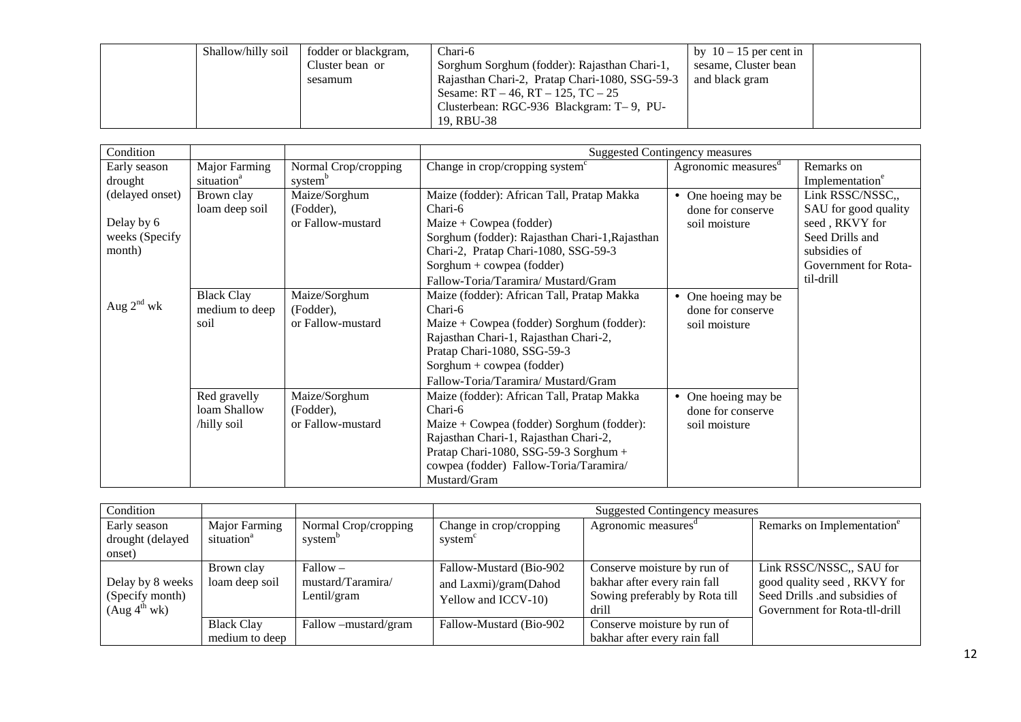| Shallow/hilly soil | fodder or blackgram, | Chari-6                                        | by $10 - 15$ per cent in |
|--------------------|----------------------|------------------------------------------------|--------------------------|
|                    | Cluster bean or      | Sorghum Sorghum (fodder): Rajasthan Chari-1,   | sesame, Cluster bean     |
|                    | sesamum              | Rajasthan Chari-2, Pratap Chari-1080, SSG-59-3 | and black gram           |
|                    |                      | Sesame: $RT - 46$ , $RT - 125$ , $TC - 25$     |                          |
|                    |                      | Clusterbean: RGC-936 Blackgram: T-9, PU-       |                          |
|                    |                      | 19. RBU-38                                     |                          |

| Condition       |                        |                      | <b>Suggested Contingency measures</b>          |                                 |                             |  |
|-----------------|------------------------|----------------------|------------------------------------------------|---------------------------------|-----------------------------|--|
| Early season    | Major Farming          | Normal Crop/cropping | Change in crop/cropping system <sup>c</sup>    | Agronomic measures <sup>d</sup> | Remarks on                  |  |
| drought         | situation <sup>a</sup> | system <sup>b</sup>  |                                                |                                 | Implementation <sup>e</sup> |  |
| (delayed onset) | Brown clay             | Maize/Sorghum        | Maize (fodder): African Tall, Pratap Makka     | One hoeing may be<br>$\bullet$  | Link RSSC/NSSC,,            |  |
|                 | loam deep soil         | (Fodder),            | Chari-6                                        | done for conserve               | SAU for good quality        |  |
| Delay by 6      |                        | or Fallow-mustard    | Maize + Cowpea (fodder)                        | soil moisture                   | seed, RKVY for              |  |
| weeks (Specify  |                        |                      | Sorghum (fodder): Rajasthan Chari-1, Rajasthan |                                 | Seed Drills and             |  |
| month)          |                        |                      | Chari-2, Pratap Chari-1080, SSG-59-3           |                                 | subsidies of                |  |
|                 |                        |                      | Sorghum + cowpea (fodder)                      |                                 | Government for Rota-        |  |
|                 |                        |                      | Fallow-Toria/Taramira/ Mustard/Gram            |                                 | til-drill                   |  |
|                 | <b>Black Clay</b>      | Maize/Sorghum        | Maize (fodder): African Tall, Pratap Makka     | One hoeing may be<br>$\bullet$  |                             |  |
| Aug $2^{nd}$ wk | medium to deep         | (Fodder),            | Chari-6                                        | done for conserve               |                             |  |
|                 | soil                   | or Fallow-mustard    | Maize + Cowpea (fodder) Sorghum (fodder):      | soil moisture                   |                             |  |
|                 |                        |                      | Rajasthan Chari-1, Rajasthan Chari-2,          |                                 |                             |  |
|                 |                        |                      | Pratap Chari-1080, SSG-59-3                    |                                 |                             |  |
|                 |                        |                      | $Sorghum + cowpea (fodder)$                    |                                 |                             |  |
|                 |                        |                      | Fallow-Toria/Taramira/ Mustard/Gram            |                                 |                             |  |
|                 | Red gravelly           | Maize/Sorghum        | Maize (fodder): African Tall, Pratap Makka     | One hoeing may be<br>$\bullet$  |                             |  |
|                 | loam Shallow           | (Fodder),            | Chari-6                                        | done for conserve               |                             |  |
|                 | /hilly soil            | or Fallow-mustard    | Maize + Cowpea (fodder) Sorghum (fodder):      | soil moisture                   |                             |  |
|                 |                        |                      | Rajasthan Chari-1, Rajasthan Chari-2,          |                                 |                             |  |
|                 |                        |                      | Pratap Chari-1080, SSG-59-3 Sorghum +          |                                 |                             |  |
|                 |                        |                      | cowpea (fodder) Fallow-Toria/Taramira/         |                                 |                             |  |
|                 |                        |                      | Mustard/Gram                                   |                                 |                             |  |

| Condition                                                       |                                         |                                                | <b>Suggested Contingency measures</b>                                   |                                                                                                        |                                                                                                                           |  |  |
|-----------------------------------------------------------------|-----------------------------------------|------------------------------------------------|-------------------------------------------------------------------------|--------------------------------------------------------------------------------------------------------|---------------------------------------------------------------------------------------------------------------------------|--|--|
| Early season<br>drought (delayed<br>onset)                      | Major Farming<br>situation <sup>a</sup> | Normal Crop/cropping<br>system <sup>b</sup>    | Change in crop/cropping<br>system <sup>c</sup>                          | Agronomic measures                                                                                     | Remarks on Implementation <sup>e</sup>                                                                                    |  |  |
| Delay by 8 weeks<br>(Specify month)<br>(Aug 4 <sup>th</sup> wk) | Brown clay<br>loam deep soil            | $Fallow -$<br>mustard/Taramira/<br>Lentil/gram | Fallow-Mustard (Bio-902<br>and Laxmi)/gram(Dahod<br>Yellow and ICCV-10) | Conserve moisture by run of<br>bakhar after every rain fall<br>Sowing preferably by Rota till<br>drill | Link RSSC/NSSC., SAU for<br>good quality seed, RKVY for<br>Seed Drills .and subsidies of<br>Government for Rota-tll-drill |  |  |
|                                                                 | <b>Black Clay</b><br>medium to deep     | Fallow – mustard/gram                          | Fallow-Mustard (Bio-902)                                                | Conserve moisture by run of<br>bakhar after every rain fall                                            |                                                                                                                           |  |  |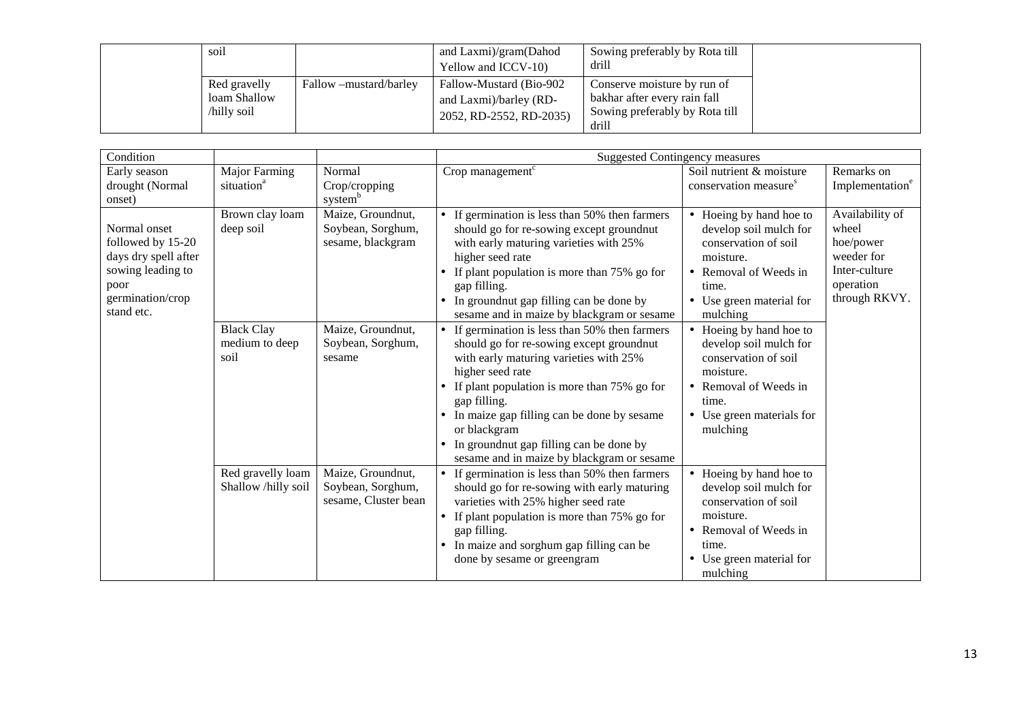| soil                                       |                        | and Laxmi)/gram(Dahod<br>Yellow and ICCV-10)                                 | Sowing preferably by Rota till<br>drill                                                                |
|--------------------------------------------|------------------------|------------------------------------------------------------------------------|--------------------------------------------------------------------------------------------------------|
| Red gravelly<br>loam Shallow<br>hilly soil | Fallow –mustard/barley | Fallow-Mustard (Bio-902<br>and Laxmi)/barley (RD-<br>2052, RD-2552, RD-2035) | Conserve moisture by run of<br>bakhar after every rain fall<br>Sowing preferably by Rota till<br>drill |

| Condition                                                                                                                |                                             |                                                                | <b>Suggested Contingency measures</b>                                                                                                                                                                                                                                                                                                                                                                  |                                                                                                                                                                   |                                                                                                    |
|--------------------------------------------------------------------------------------------------------------------------|---------------------------------------------|----------------------------------------------------------------|--------------------------------------------------------------------------------------------------------------------------------------------------------------------------------------------------------------------------------------------------------------------------------------------------------------------------------------------------------------------------------------------------------|-------------------------------------------------------------------------------------------------------------------------------------------------------------------|----------------------------------------------------------------------------------------------------|
| Early season<br>drought (Normal<br>onset)                                                                                | Major Farming<br>situation <sup>a</sup>     | Normal<br>Crop/cropping<br>system <sup>b</sup>                 | Crop management <sup>c</sup>                                                                                                                                                                                                                                                                                                                                                                           | Soil nutrient & moisture<br>conservation measure <sup>s</sup>                                                                                                     | Remarks on<br>Implementation <sup>e</sup>                                                          |
| Normal onset<br>followed by 15-20<br>days dry spell after<br>sowing leading to<br>poor<br>germination/crop<br>stand etc. | Brown clay loam<br>deep soil                | Maize, Groundnut,<br>Soybean, Sorghum,<br>sesame, blackgram    | • If germination is less than 50% then farmers<br>should go for re-sowing except groundnut<br>with early maturing varieties with 25%<br>higher seed rate<br>If plant population is more than 75% go for<br>gap filling.<br>In groundnut gap filling can be done by<br>sesame and in maize by blackgram or sesame                                                                                       | • Hoeing by hand hoe to<br>develop soil mulch for<br>conservation of soil<br>moisture.<br>Removal of Weeds in<br>time.<br>• Use green material for<br>mulching    | Availability of<br>wheel<br>hoe/power<br>weeder for<br>Inter-culture<br>operation<br>through RKVY. |
|                                                                                                                          | <b>Black Clay</b><br>medium to deep<br>soil | Maize, Groundnut,<br>Soybean, Sorghum,<br>sesame               | If germination is less than 50% then farmers<br>should go for re-sowing except groundnut<br>with early maturing varieties with 25%<br>higher seed rate<br>If plant population is more than 75% go for<br>$\bullet$<br>gap filling.<br>In maize gap filling can be done by sesame<br>or blackgram<br>In groundnut gap filling can be done by<br>$\bullet$<br>sesame and in maize by blackgram or sesame | • Hoeing by hand hoe to<br>develop soil mulch for<br>conservation of soil<br>moisture.<br>• Removal of Weeds in<br>time.<br>• Use green materials for<br>mulching |                                                                                                    |
|                                                                                                                          | Red gravelly loam<br>Shallow /hilly soil    | Maize, Groundnut,<br>Soybean, Sorghum,<br>sesame, Cluster bean | If germination is less than 50% then farmers<br>should go for re-sowing with early maturing<br>varieties with 25% higher seed rate<br>If plant population is more than 75% go for<br>$\bullet$<br>gap filling.<br>In maize and sorghum gap filling can be<br>done by sesame or greengram                                                                                                               | • Hoeing by hand hoe to<br>develop soil mulch for<br>conservation of soil<br>moisture.<br>• Removal of Weeds in<br>time.<br>Use green material for<br>mulching    |                                                                                                    |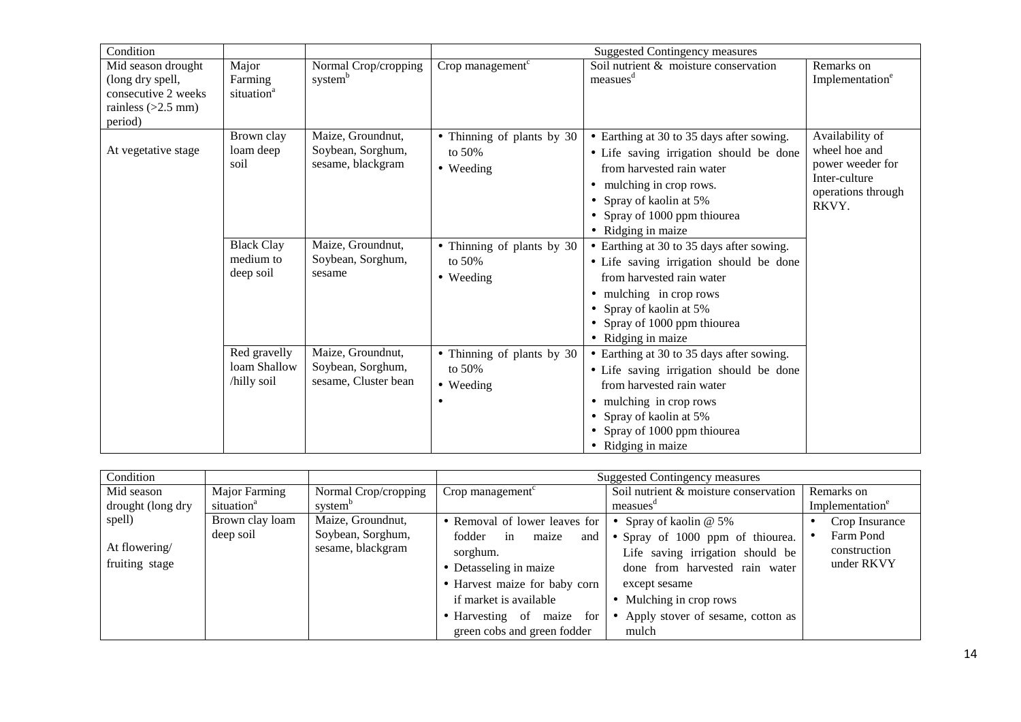| Condition                                                                                        |                                             |                                                                |                                                     | <b>Suggested Contingency measures</b>                                                                                                                                                                                         |                                                                                                      |
|--------------------------------------------------------------------------------------------------|---------------------------------------------|----------------------------------------------------------------|-----------------------------------------------------|-------------------------------------------------------------------------------------------------------------------------------------------------------------------------------------------------------------------------------|------------------------------------------------------------------------------------------------------|
| Mid season drought<br>(long dry spell,<br>consecutive 2 weeks<br>rainless $(>2.5$ mm)<br>period) | Major<br>Farming<br>situation <sup>a</sup>  | Normal Crop/cropping<br>system <sup>b</sup>                    | Crop management <sup>c</sup>                        | Soil nutrient & moisture conservation<br>measues <sup>d</sup>                                                                                                                                                                 | Remarks on<br>Implementation <sup>e</sup>                                                            |
| At vegetative stage                                                                              | Brown clay<br>loam deep<br>soil             | Maize, Groundnut,<br>Soybean, Sorghum,<br>sesame, blackgram    | • Thinning of plants by 30<br>to $50%$<br>• Weeding | • Earthing at 30 to 35 days after sowing.<br>• Life saving irrigation should be done<br>from harvested rain water<br>mulching in crop rows.<br>Spray of kaolin at 5%<br>• Spray of 1000 ppm thiourea<br>• Ridging in maize    | Availability of<br>wheel hoe and<br>power weeder for<br>Inter-culture<br>operations through<br>RKVY. |
|                                                                                                  | <b>Black Clay</b><br>medium to<br>deep soil | Maize, Groundnut,<br>Soybean, Sorghum,<br>sesame               | • Thinning of plants by 30<br>to $50%$<br>• Weeding | • Earthing at 30 to 35 days after sowing.<br>• Life saving irrigation should be done<br>from harvested rain water<br>• mulching in crop rows<br>• Spray of kaolin at 5%<br>• Spray of 1000 ppm thiourea<br>• Ridging in maize |                                                                                                      |
|                                                                                                  | Red gravelly<br>loam Shallow<br>/hilly soil | Maize, Groundnut,<br>Soybean, Sorghum,<br>sesame, Cluster bean | • Thinning of plants by 30<br>to $50%$<br>• Weeding | • Earthing at 30 to 35 days after sowing.<br>• Life saving irrigation should be done<br>from harvested rain water<br>mulching in crop rows<br>Spray of kaolin at 5%<br>• Spray of 1000 ppm thiourea<br>• Ridging in maize     |                                                                                                      |

| Condition                                 |                                         |                                                             |                                                                                                                                                                                                                            | <b>Suggested Contingency measures</b>                                                                                                                                                                                          |                                                           |
|-------------------------------------------|-----------------------------------------|-------------------------------------------------------------|----------------------------------------------------------------------------------------------------------------------------------------------------------------------------------------------------------------------------|--------------------------------------------------------------------------------------------------------------------------------------------------------------------------------------------------------------------------------|-----------------------------------------------------------|
| Mid season<br>drought (long dry           | Major Farming<br>situation <sup>a</sup> | Normal Crop/cropping<br>system                              | Crop management <sup>c</sup>                                                                                                                                                                                               | Soil nutrient & moisture conservation<br>measues                                                                                                                                                                               | Remarks on<br>Implementation <sup>e</sup>                 |
| spell)<br>At flowering/<br>fruiting stage | Brown clay loam<br>deep soil            | Maize, Groundnut,<br>Soybean, Sorghum,<br>sesame, blackgram | • Removal of lower leaves for<br>fodder<br>and<br>in<br>maize<br>sorghum.<br>• Detasseling in maize<br>• Harvest maize for baby corn<br>if market is available<br>• Harvesting of maize for<br>green cobs and green fodder | • Spray of kaolin $@$ 5%<br>• Spray of 1000 ppm of thiourea.<br>Life saving irrigation should be<br>done from harvested rain water<br>except sesame<br>• Mulching in crop rows<br>• Apply stover of sesame, cotton as<br>mulch | Crop Insurance<br>Farm Pond<br>construction<br>under RKVY |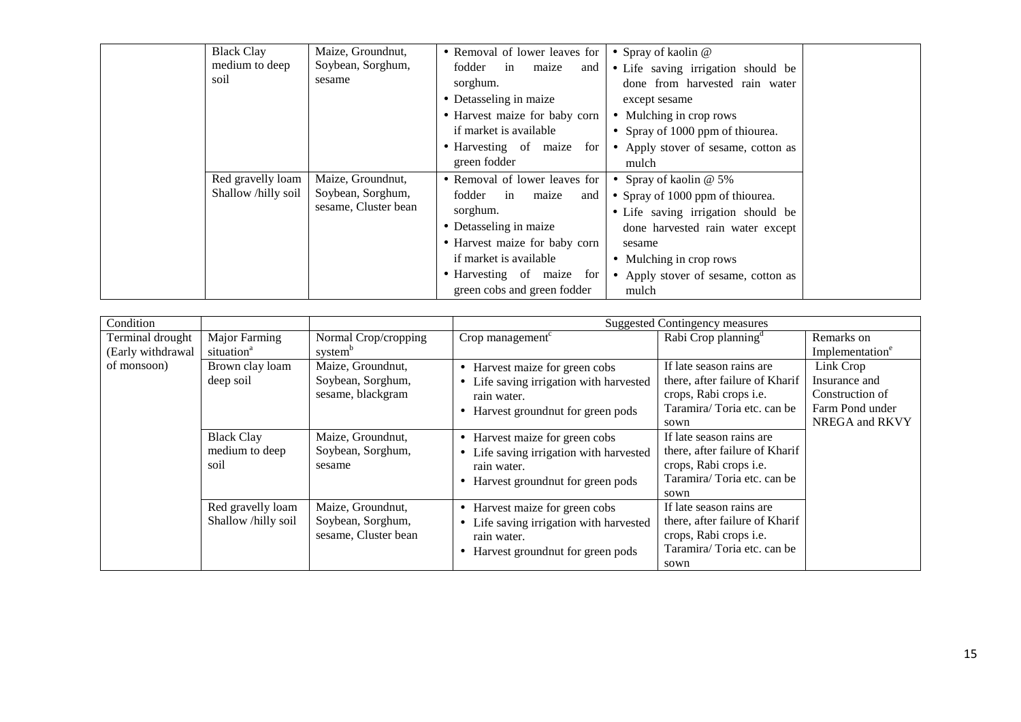| <b>Black Clay</b><br>medium to deep<br>soil | Maize, Groundnut,<br>Soybean, Sorghum,<br>sesame               | • Removal of lower leaves for<br>fodder<br>maize<br>in<br>and<br>sorghum.<br>• Detasseling in maize<br>• Harvest maize for baby corn<br>if market is available<br>• Harvesting of maize for<br>green fodder                | • Spray of kaolin $@$<br>• Life saving irrigation should be<br>done from harvested rain water<br>except sesame<br>• Mulching in crop rows<br>• Spray of 1000 ppm of thiourea.<br>• Apply stover of sesame, cotton as<br>mulch |  |
|---------------------------------------------|----------------------------------------------------------------|----------------------------------------------------------------------------------------------------------------------------------------------------------------------------------------------------------------------------|-------------------------------------------------------------------------------------------------------------------------------------------------------------------------------------------------------------------------------|--|
| Red gravelly loam<br>Shallow /hilly soil    | Maize, Groundnut,<br>Soybean, Sorghum,<br>sesame, Cluster bean | • Removal of lower leaves for<br>fodder<br>in<br>maize<br>and<br>sorghum.<br>• Detasseling in maize<br>• Harvest maize for baby corn<br>if market is available<br>• Harvesting of maize for<br>green cobs and green fodder | • Spray of kaolin @ $5\%$<br>• Spray of 1000 ppm of thiourea.<br>· Life saving irrigation should be<br>done harvested rain water except<br>sesame<br>• Mulching in crop rows<br>• Apply stover of sesame, cotton as<br>mulch  |  |

| Condition                             |                                                |                                                                |                                                                                                                                            | Suggested Contingency measures                                                                                                    |                                                                                    |
|---------------------------------------|------------------------------------------------|----------------------------------------------------------------|--------------------------------------------------------------------------------------------------------------------------------------------|-----------------------------------------------------------------------------------------------------------------------------------|------------------------------------------------------------------------------------|
| Terminal drought<br>(Early withdrawal | <b>Major Farming</b><br>situation <sup>a</sup> | Normal Crop/cropping<br>system <sup>b</sup>                    | Crop management $c$                                                                                                                        | Rabi Crop planning <sup>a</sup>                                                                                                   | Remarks on<br>Implementation <sup>e</sup>                                          |
| of monsoon)                           | Brown clay loam<br>deep soil                   | Maize, Groundnut,<br>Soybean, Sorghum,<br>sesame, blackgram    | • Harvest maize for green cobs<br>• Life saving irrigation with harvested<br>rain water.<br>Harvest ground nut for green pods<br>$\bullet$ | If late season rains are<br>there, after failure of Kharif<br>crops, Rabi crops i.e.<br>Taramira/Toria etc. can be<br>sown        | Link Crop<br>Insurance and<br>Construction of<br>Farm Pond under<br>NREGA and RKVY |
|                                       | <b>Black Clay</b><br>medium to deep<br>soil    | Maize, Groundnut,<br>Soybean, Sorghum,<br>sesame               | • Harvest maize for green cobs<br>• Life saving irrigation with harvested<br>rain water.<br>Harvest ground nut for green pods<br>$\bullet$ | If late season rains are<br>there, after failure of Kharif<br>crops, Rabi crops i.e.<br>Taramira/Toria etc. can be<br>sown        |                                                                                    |
|                                       | Red gravelly loam<br>Shallow /hilly soil       | Maize, Groundnut,<br>Soybean, Sorghum,<br>sesame, Cluster bean | • Harvest maize for green cobs<br>• Life saving irrigation with harvested<br>rain water.<br>Harvest ground nut for green pods              | If late season rains are<br>there, after failure of Kharif<br>crops, Rabi crops <i>i.e.</i><br>Taramira/Toria etc. can be<br>sown |                                                                                    |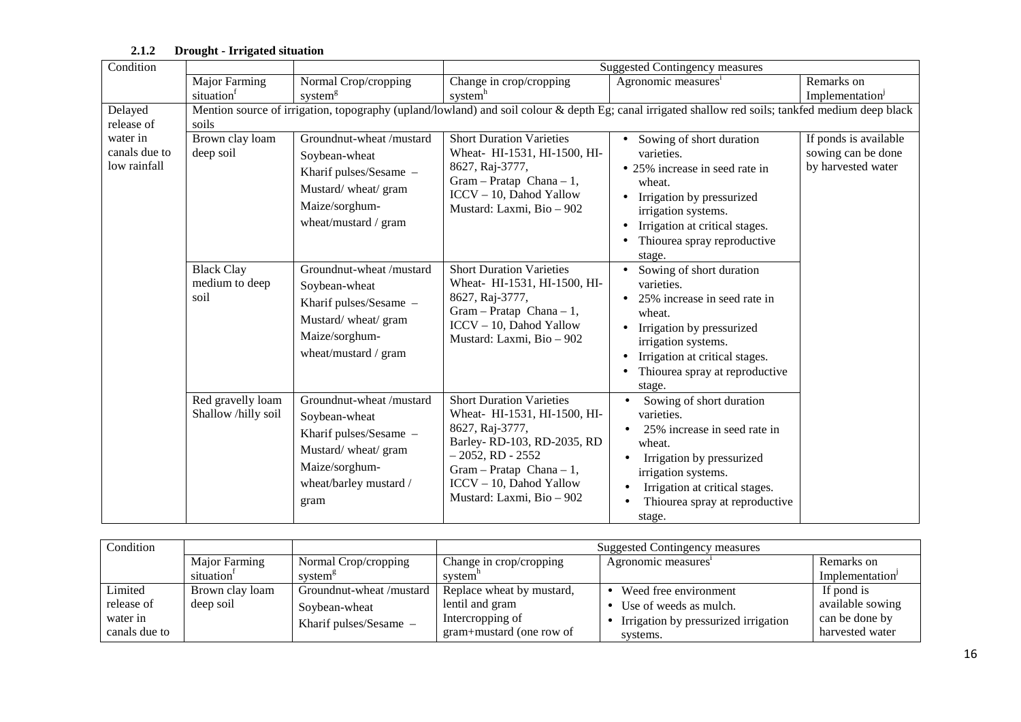| Condition                                               |                                             |                                                                                                                                               |                                                                                                                                                                                                                               | Suggested Contingency measures                                                                                                                                                                                                                            |                                                                   |
|---------------------------------------------------------|---------------------------------------------|-----------------------------------------------------------------------------------------------------------------------------------------------|-------------------------------------------------------------------------------------------------------------------------------------------------------------------------------------------------------------------------------|-----------------------------------------------------------------------------------------------------------------------------------------------------------------------------------------------------------------------------------------------------------|-------------------------------------------------------------------|
|                                                         |                                             |                                                                                                                                               |                                                                                                                                                                                                                               |                                                                                                                                                                                                                                                           |                                                                   |
|                                                         | Major Farming                               | Normal Crop/cropping                                                                                                                          | Change in crop/cropping                                                                                                                                                                                                       | Agronomic measures <sup>1</sup>                                                                                                                                                                                                                           | Remarks on                                                        |
|                                                         | situation <sup>t</sup>                      | system <sup>g</sup>                                                                                                                           | system <sup>h</sup>                                                                                                                                                                                                           |                                                                                                                                                                                                                                                           | Implementation <sup>1</sup>                                       |
| Delayed                                                 | soils                                       |                                                                                                                                               |                                                                                                                                                                                                                               | Mention source of irrigation, topography (upland/lowland) and soil colour & depth Eg; canal irrigated shallow red soils; tankfed medium deep black                                                                                                        |                                                                   |
| release of<br>water in<br>canals due to<br>low rainfall | Brown clay loam<br>deep soil                | Groundnut-wheat /mustard<br>Soybean-wheat<br>Kharif pulses/Sesame -<br>Mustard/wheat/gram<br>Maize/sorghum-<br>wheat/mustard / gram           | <b>Short Duration Varieties</b><br>Wheat- HI-1531, HI-1500, HI-<br>8627, Raj-3777,<br>$Gram - Pratap Chana - 1,$<br>ICCV - 10, Dahod Yallow<br>Mustard: Laxmi, Bio - 902                                                      | • Sowing of short duration<br>varieties.<br>• 25% increase in seed rate in<br>wheat.<br>Irrigation by pressurized<br>irrigation systems.<br>Irrigation at critical stages.<br>Thiourea spray reproductive                                                 | If ponds is available<br>sowing can be done<br>by harvested water |
|                                                         | <b>Black Clay</b><br>medium to deep<br>soil | Groundnut-wheat /mustard<br>Soybean-wheat<br>Kharif pulses/Sesame -<br>Mustard/wheat/gram<br>Maize/sorghum-<br>wheat/mustard / gram           | <b>Short Duration Varieties</b><br>Wheat- HI-1531, HI-1500, HI-<br>8627, Raj-3777,<br>$Gram - Pratap Chana - 1,$<br>ICCV - 10, Dahod Yallow<br>Mustard: Laxmi, Bio - 902                                                      | stage.<br>Sowing of short duration<br>varieties.<br>25% increase in seed rate in<br>wheat.<br>Irrigation by pressurized<br>irrigation systems.<br>Irrigation at critical stages.<br>Thiourea spray at reproductive<br>stage.                              |                                                                   |
|                                                         | Red gravelly loam<br>Shallow /hilly soil    | Groundnut-wheat /mustard<br>Soybean-wheat<br>Kharif pulses/Sesame -<br>Mustard/wheat/gram<br>Maize/sorghum-<br>wheat/barley mustard /<br>gram | <b>Short Duration Varieties</b><br>Wheat- HI-1531, HI-1500, HI-<br>8627, Raj-3777,<br>Barley-RD-103, RD-2035, RD<br>$-2052$ , RD - 2552<br>$Gram - Pratap Chana - 1,$<br>ICCV - 10, Dahod Yallow<br>Mustard: Laxmi, Bio - 902 | Sowing of short duration<br>$\bullet$<br>varieties.<br>25% increase in seed rate in<br>wheat.<br>Irrigation by pressurized<br>$\bullet$<br>irrigation systems.<br>Irrigation at critical stages.<br>Thiourea spray at reproductive<br>$\bullet$<br>stage. |                                                                   |

#### **2.1.2 Drought - Irrigated situation**

| Condition     |                 |                         | Suggested Contingency measures                              |                                      |                  |
|---------------|-----------------|-------------------------|-------------------------------------------------------------|--------------------------------------|------------------|
|               | Major Farming   | Normal Crop/cropping    | Change in crop/cropping<br>Remarks on<br>Agronomic measures |                                      |                  |
|               | situation'      | system <sup>8</sup>     | system <sup>-</sup>                                         |                                      | Implementation   |
| Limited       | Brown clay loam | Groundnut-wheat/mustard | Replace wheat by mustard,                                   | Weed free environment                | If pond is       |
| release of    | deep soil       | Soybean-wheat           | lentil and gram                                             | Use of weeds as mulch.               | available sowing |
| water in      |                 | Kharif pulses/Sesame –  | Intercropping of                                            | Irrigation by pressurized irrigation | can be done by   |
| canals due to |                 |                         | gram+mustard (one row of                                    | systems.                             | harvested water  |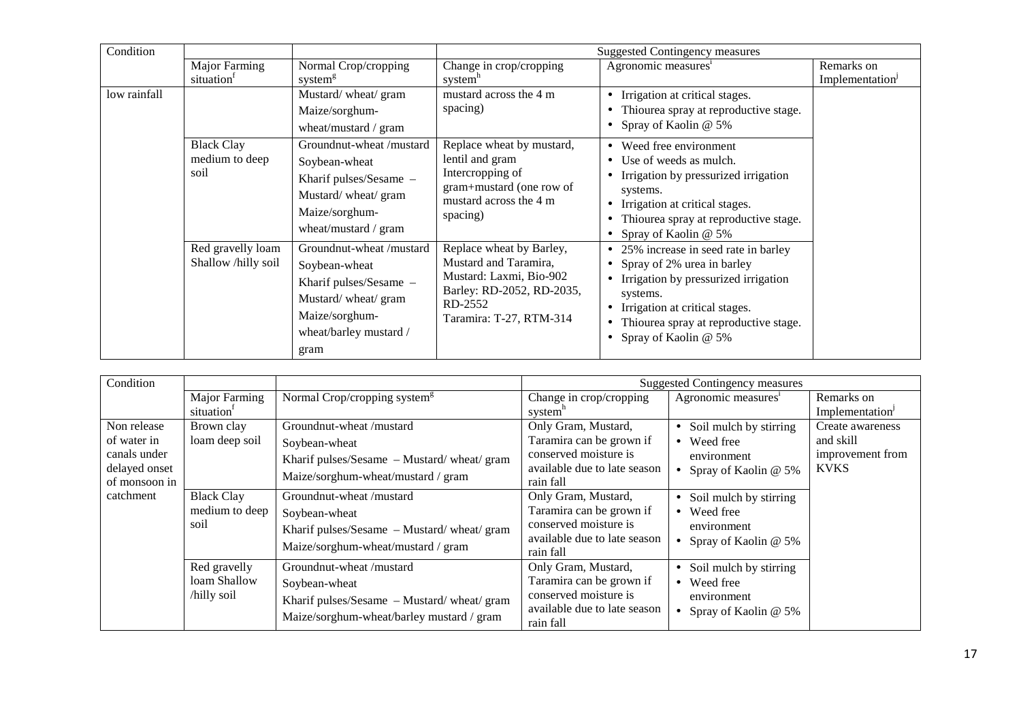| Condition    |                                             |                                                                                                                                              |                                                                                                                                                 | <b>Suggested Contingency measures</b>                                                                                                                                                                                    |                                           |
|--------------|---------------------------------------------|----------------------------------------------------------------------------------------------------------------------------------------------|-------------------------------------------------------------------------------------------------------------------------------------------------|--------------------------------------------------------------------------------------------------------------------------------------------------------------------------------------------------------------------------|-------------------------------------------|
|              | <b>Major Farming</b><br>situation           | Normal Crop/cropping<br>system <sup>g</sup>                                                                                                  | Change in crop/cropping<br>system <sup>n</sup>                                                                                                  | Agronomic measures <sup>1</sup>                                                                                                                                                                                          | Remarks on<br>Implementation <sup>J</sup> |
| low rainfall |                                             | Mustard/wheat/gram<br>Maize/sorghum-<br>wheat/mustard / gram                                                                                 | mustard across the 4 m<br>spacing)                                                                                                              | Irrigation at critical stages.<br>Thiourea spray at reproductive stage.<br>Spray of Kaolin @ 5%                                                                                                                          |                                           |
|              | <b>Black Clay</b><br>medium to deep<br>soil | Groundnut-wheat/mustard<br>Soybean-wheat<br>Kharif pulses/Sesame -<br>Mustard/wheat/gram<br>Maize/sorghum-<br>wheat/mustard / gram           | Replace wheat by mustard,<br>lentil and gram<br>Intercropping of<br>gram+mustard (one row of<br>mustard across the 4 m<br>spacing)              | Weed free environment<br>Use of weeds as mulch.<br>Irrigation by pressurized irrigation<br>systems.<br>Irrigation at critical stages.<br>Thiourea spray at reproductive stage.<br>Spray of Kaolin @ 5%                   |                                           |
|              | Red gravelly loam<br>Shallow /hilly soil    | Groundnut-wheat/mustard<br>Soybean-wheat<br>Kharif pulses/Sesame -<br>Mustard/wheat/gram<br>Maize/sorghum-<br>wheat/barley mustard /<br>gram | Replace wheat by Barley,<br>Mustard and Taramira,<br>Mustard: Laxmi, Bio-902<br>Barley: RD-2052, RD-2035,<br>RD-2552<br>Taramira: T-27, RTM-314 | 25% increase in seed rate in barley<br>Spray of 2% urea in barley<br>Irrigation by pressurized irrigation<br>systems.<br>Irrigation at critical stages.<br>Thiourea spray at reproductive stage.<br>Spray of Kaolin @ 5% |                                           |

| Condition     |                        |                                             |                              | <b>Suggested Contingency measures</b> |                             |
|---------------|------------------------|---------------------------------------------|------------------------------|---------------------------------------|-----------------------------|
|               | Major Farming          | Normal Crop/cropping system <sup>g</sup>    | Change in crop/cropping      | Agronomic measures <sup>1</sup>       | Remarks on                  |
|               | situation <sup>1</sup> |                                             | system <sup>h</sup>          |                                       | Implementation <sup>1</sup> |
| Non release   | Brown clay             | Groundnut-wheat/mustard                     | Only Gram, Mustard,          | • Soil mulch by stirring              | Create awareness            |
| of water in   | loam deep soil         | Soybean-wheat                               | Taramira can be grown if     | • Weed free                           | and skill                   |
| canals under  |                        | Kharif pulses/Sesame – Mustard/wheat/gram   | conserved moisture is        | environment                           | improvement from            |
| delayed onset |                        | Maize/sorghum-wheat/mustard / gram          | available due to late season | • Spray of Kaolin @ $5\%$             | <b>KVKS</b>                 |
| of monsoon in |                        |                                             | rain fall                    |                                       |                             |
| catchment     | <b>Black Clay</b>      | Groundnut-wheat /mustard                    | Only Gram, Mustard,          | • Soil mulch by stirring              |                             |
|               | medium to deep         | Soybean-wheat                               | Taramira can be grown if     | • Weed free                           |                             |
|               | soil                   | Kharif pulses/Sesame - Mustard/ wheat/ gram | conserved moisture is        | environment                           |                             |
|               |                        | Maize/sorghum-wheat/mustard / gram          | available due to late season | Spray of Kaolin @ 5%                  |                             |
|               |                        |                                             | rain fall                    |                                       |                             |
|               | Red gravelly           | Groundnut-wheat /mustard                    | Only Gram, Mustard,          | • Soil mulch by stirring              |                             |
|               | loam Shallow           | Soybean-wheat                               | Taramira can be grown if     | • Weed free                           |                             |
|               | /hilly soil            | Kharif pulses/Sesame - Mustard/wheat/gram   | conserved moisture is        | environment                           |                             |
|               |                        | Maize/sorghum-wheat/barley mustard / gram   | available due to late season | • Spray of Kaolin $@$ 5%              |                             |
|               |                        |                                             | rain fall                    |                                       |                             |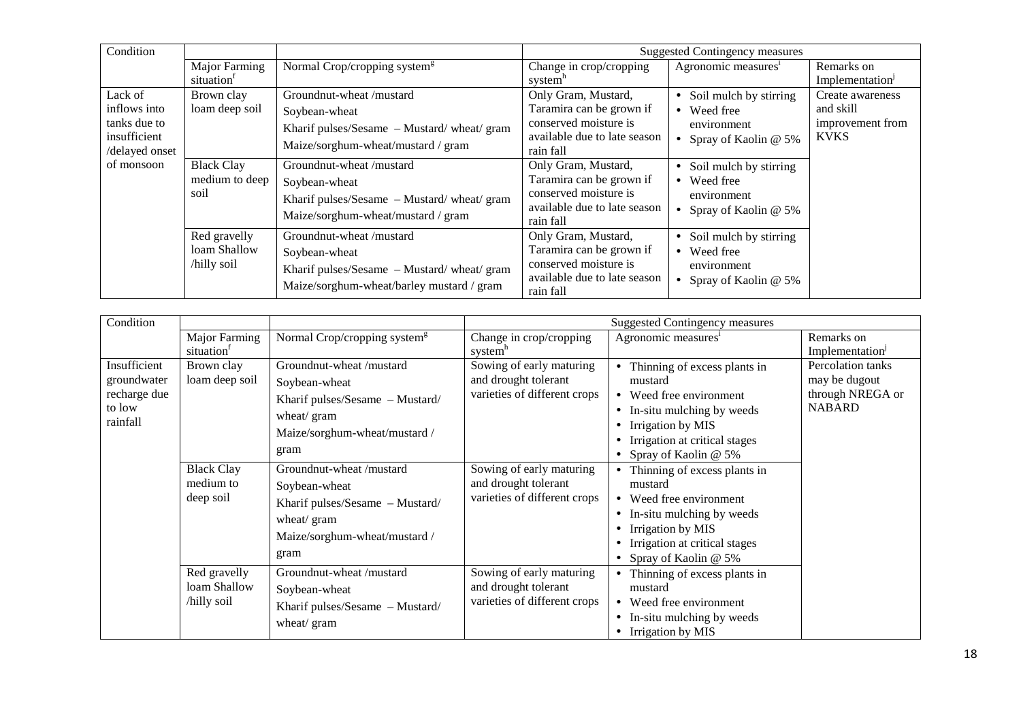| Condition      |                   |                                           |                              | <b>Suggested Contingency measures</b> |                             |
|----------------|-------------------|-------------------------------------------|------------------------------|---------------------------------------|-----------------------------|
|                | Major Farming     | Normal Crop/cropping system <sup>g</sup>  | Change in crop/cropping      | Agronomic measures <sup>1</sup>       | Remarks on                  |
|                | situation         |                                           | system"                      |                                       | Implementation <sup>J</sup> |
| Lack of        | Brown clay        | Groundnut-wheat /mustard                  | Only Gram, Mustard,          | • Soil mulch by stirring              | Create awareness            |
| inflows into   | loam deep soil    | Soybean-wheat                             | Taramira can be grown if     | • Weed free                           | and skill                   |
| tanks due to   |                   | Kharif pulses/Sesame - Mustard/wheat/gram | conserved moisture is        | environment                           | improvement from            |
| insufficient   |                   | Maize/sorghum-wheat/mustard / gram        | available due to late season | • Spray of Kaolin @ $5\%$             | <b>KVKS</b>                 |
| /delayed onset |                   |                                           | rain fall                    |                                       |                             |
| of monsoon     | <b>Black Clay</b> | Groundnut-wheat/mustard                   | Only Gram, Mustard,          | • Soil mulch by stirring              |                             |
|                | medium to deep    | Soybean-wheat                             | Taramira can be grown if     | • Weed free                           |                             |
|                | soil              | Kharif pulses/Sesame - Mustard/wheat/gram | conserved moisture is        | environment                           |                             |
|                |                   | Maize/sorghum-wheat/mustard / gram        | available due to late season | • Spray of Kaolin $@$ 5%              |                             |
|                |                   |                                           | rain fall                    |                                       |                             |
|                | Red gravelly      | Groundnut-wheat /mustard                  | Only Gram, Mustard,          | • Soil mulch by stirring              |                             |
|                | loam Shallow      | Soybean-wheat                             | Taramira can be grown if     | • Weed free                           |                             |
|                | /hilly soil       | Kharif pulses/Sesame - Mustard/wheat/gram | conserved moisture is        | environment                           |                             |
|                |                   | Maize/sorghum-wheat/barley mustard / gram | available due to late season | • Spray of Kaolin $@$ 5%              |                             |
|                |                   |                                           | rain fall                    |                                       |                             |

| Condition                                                         |                                             |                                                                                                                                      |                                                                                  | <b>Suggested Contingency measures</b>                                                                                                                                                           |                                                                         |
|-------------------------------------------------------------------|---------------------------------------------|--------------------------------------------------------------------------------------------------------------------------------------|----------------------------------------------------------------------------------|-------------------------------------------------------------------------------------------------------------------------------------------------------------------------------------------------|-------------------------------------------------------------------------|
|                                                                   | Major Farming<br>situation <sup>1</sup>     | Normal Crop/cropping system <sup>g</sup>                                                                                             | Change in crop/cropping<br>system <sup>h</sup>                                   | Agronomic measures <sup>1</sup>                                                                                                                                                                 | Remarks on<br>Implementation                                            |
| Insufficient<br>groundwater<br>recharge due<br>to low<br>rainfall | Brown clay<br>loam deep soil                | Groundnut-wheat /mustard<br>Soybean-wheat<br>Kharif pulses/Sesame - Mustard/<br>wheat/ gram<br>Maize/sorghum-wheat/mustard /<br>gram | Sowing of early maturing<br>and drought tolerant<br>varieties of different crops | Thinning of excess plants in<br>mustard<br>• Weed free environment<br>In-situ mulching by weeds<br>$\bullet$<br>Irrigation by MIS<br>Irrigation at critical stages<br>Spray of Kaolin @ 5%      | Percolation tanks<br>may be dugout<br>through NREGA or<br><b>NABARD</b> |
|                                                                   | <b>Black Clay</b><br>medium to<br>deep soil | Groundnut-wheat /mustard<br>Soybean-wheat<br>Kharif pulses/Sesame - Mustard/<br>wheat/ gram<br>Maize/sorghum-wheat/mustard /<br>gram | Sowing of early maturing<br>and drought tolerant<br>varieties of different crops | Thinning of excess plants in<br>mustard<br>• Weed free environment<br>In-situ mulching by weeds<br>$\bullet$<br>Irrigation by MIS<br>Irrigation at critical stages<br>• Spray of Kaolin @ $5\%$ |                                                                         |
|                                                                   | Red gravelly<br>loam Shallow<br>/hilly soil | Groundnut-wheat /mustard<br>Soybean-wheat<br>Kharif pulses/Sesame - Mustard/<br>wheat/ gram                                          | Sowing of early maturing<br>and drought tolerant<br>varieties of different crops | Thinning of excess plants in<br>mustard<br>Weed free environment<br>In-situ mulching by weeds<br>Irrigation by MIS                                                                              |                                                                         |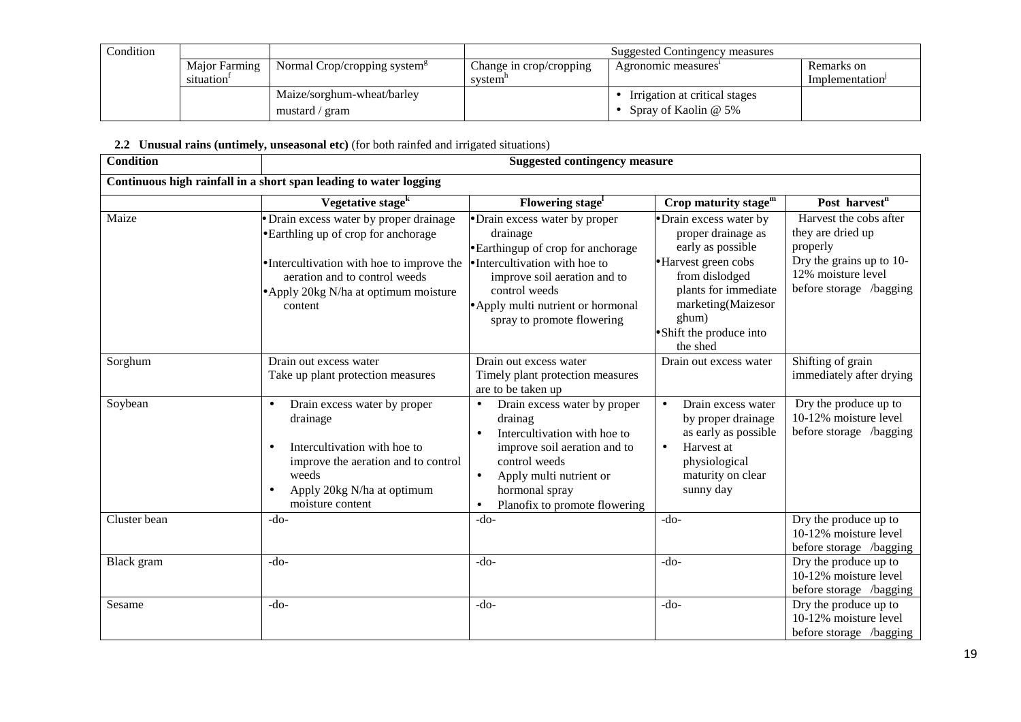| Condition |                        |                                           | Suggested Contingency measures |                               |                |  |
|-----------|------------------------|-------------------------------------------|--------------------------------|-------------------------------|----------------|--|
|           | Major Farming          | Normal Crop/cropping system $\frac{8}{3}$ | Change in crop/cropping        | Agronomic measures            | Remarks on     |  |
|           | situation <sup>-</sup> |                                           | system"                        |                               | Implementation |  |
|           |                        | Maize/sorghum-wheat/barley                |                                | Irrigation at critical stages |                |  |
|           |                        | mustard / gram                            |                                | Spray of Kaolin @ 5%          |                |  |

#### 2.2 Unusual rains (untimely, unseasonal etc) (for both rainfed and irrigated situations)

| <b>Condition</b> |                                                                                                                                                                                                                  | <b>Suggested contingency measure</b>                                                                                                                                                                                                                       |                                                                                                                                                                                                             |                                                                                                                                      |  |  |  |
|------------------|------------------------------------------------------------------------------------------------------------------------------------------------------------------------------------------------------------------|------------------------------------------------------------------------------------------------------------------------------------------------------------------------------------------------------------------------------------------------------------|-------------------------------------------------------------------------------------------------------------------------------------------------------------------------------------------------------------|--------------------------------------------------------------------------------------------------------------------------------------|--|--|--|
|                  | Continuous high rainfall in a short span leading to water logging                                                                                                                                                |                                                                                                                                                                                                                                                            |                                                                                                                                                                                                             |                                                                                                                                      |  |  |  |
|                  | Vegetative stage <sup>k</sup>                                                                                                                                                                                    | Flowering stage <sup>1</sup>                                                                                                                                                                                                                               | Crop maturity stage $^{\rm m}$                                                                                                                                                                              | Post harvest <sup>n</sup>                                                                                                            |  |  |  |
| Maize            | Drain excess water by proper drainage<br>• Earthling up of crop for anchorage<br>• Intercultivation with hoe to improve the<br>aeration and to control weeds<br>• Apply 20kg N/ha at optimum moisture<br>content | • Drain excess water by proper<br>drainage<br>• Earthingup of crop for anchorage<br>• Intercultivation with hoe to<br>improve soil aeration and to<br>control weeds<br>• Apply multi nutrient or hormonal<br>spray to promote flowering                    | • Drain excess water by<br>proper drainage as<br>early as possible<br>• Harvest green cobs<br>from dislodged<br>plants for immediate<br>marketing(Maizesor<br>ghum)<br>• Shift the produce into<br>the shed | Harvest the cobs after<br>they are dried up<br>properly<br>Dry the grains up to 10-<br>12% moisture level<br>before storage /bagging |  |  |  |
| Sorghum          | Drain out excess water<br>Take up plant protection measures                                                                                                                                                      | Drain out excess water<br>Timely plant protection measures<br>are to be taken up                                                                                                                                                                           | Drain out excess water                                                                                                                                                                                      | Shifting of grain<br>immediately after drying                                                                                        |  |  |  |
| Soybean          | Drain excess water by proper<br>$\bullet$<br>drainage<br>Intercultivation with hoe to<br>$\bullet$<br>improve the aeration and to control<br>weeds<br>Apply 20kg N/ha at optimum<br>moisture content             | Drain excess water by proper<br>$\bullet$<br>drainag<br>Intercultivation with hoe to<br>$\bullet$<br>improve soil aeration and to<br>control weeds<br>Apply multi nutrient or<br>$\bullet$<br>hormonal spray<br>Planofix to promote flowering<br>$\bullet$ | Drain excess water<br>$\bullet$<br>by proper drainage<br>as early as possible<br>Harvest at<br>$\bullet$<br>physiological<br>maturity on clear<br>sunny day                                                 | Dry the produce up to<br>10-12% moisture level<br>before storage /bagging                                                            |  |  |  |
| Cluster bean     | -do-                                                                                                                                                                                                             | $-do-$                                                                                                                                                                                                                                                     | $-do-$                                                                                                                                                                                                      | Dry the produce up to<br>10-12% moisture level<br>before storage /bagging                                                            |  |  |  |
| Black gram       | $-do-$                                                                                                                                                                                                           | $-do-$                                                                                                                                                                                                                                                     | $-do-$                                                                                                                                                                                                      | Dry the produce up to<br>10-12% moisture level<br>before storage /bagging                                                            |  |  |  |
| Sesame           | $-do-$                                                                                                                                                                                                           | $-do-$                                                                                                                                                                                                                                                     | $-do-$                                                                                                                                                                                                      | Dry the produce up to<br>10-12% moisture level<br>before storage /bagging                                                            |  |  |  |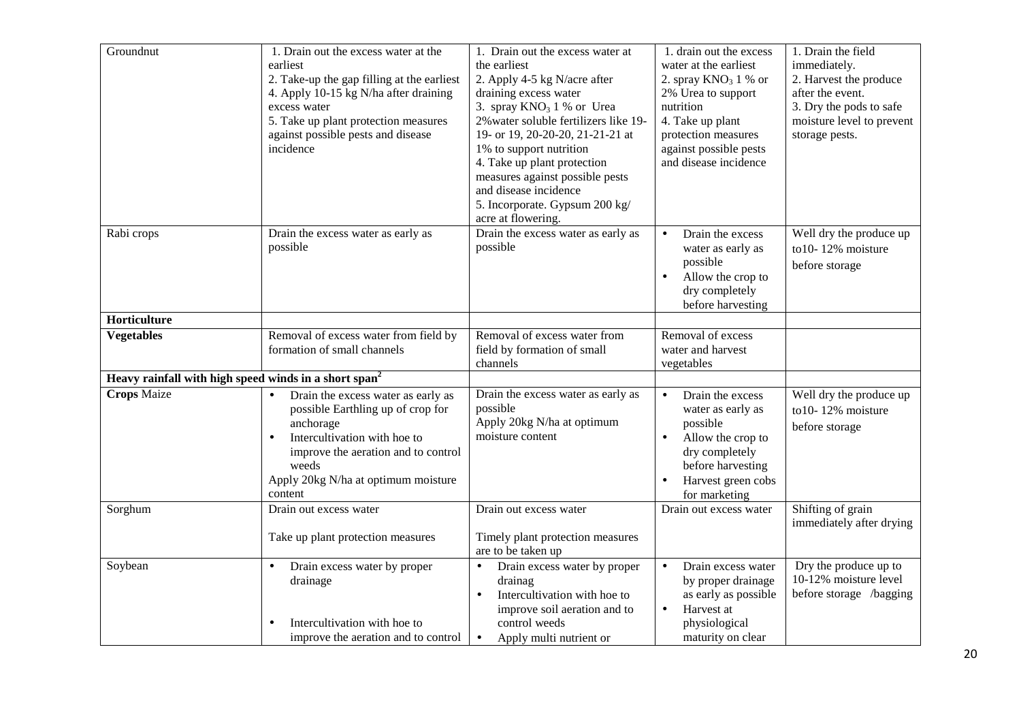| Groundnut                                                         | 1. Drain out the excess water at the<br>earliest<br>2. Take-up the gap filling at the earliest<br>4. Apply 10-15 kg N/ha after draining<br>excess water<br>5. Take up plant protection measures<br>against possible pests and disease<br>incidence | 1. Drain out the excess water at<br>the earliest<br>2. Apply 4-5 kg N/acre after<br>draining excess water<br>3. spray $KNO3 1$ % or Urea<br>2% water soluble fertilizers like 19-<br>19- or 19, 20-20-20, 21-21-21 at<br>1% to support nutrition<br>4. Take up plant protection<br>measures against possible pests<br>and disease incidence<br>5. Incorporate. Gypsum 200 kg/<br>acre at flowering. | 1. drain out the excess<br>water at the earliest<br>2. spray $KNO3 1 %$ or<br>2% Urea to support<br>nutrition<br>4. Take up plant<br>protection measures<br>against possible pests<br>and disease incidence | 1. Drain the field<br>immediately.<br>2. Harvest the produce<br>after the event.<br>3. Dry the pods to safe<br>moisture level to prevent<br>storage pests. |
|-------------------------------------------------------------------|----------------------------------------------------------------------------------------------------------------------------------------------------------------------------------------------------------------------------------------------------|-----------------------------------------------------------------------------------------------------------------------------------------------------------------------------------------------------------------------------------------------------------------------------------------------------------------------------------------------------------------------------------------------------|-------------------------------------------------------------------------------------------------------------------------------------------------------------------------------------------------------------|------------------------------------------------------------------------------------------------------------------------------------------------------------|
| Rabi crops                                                        | Drain the excess water as early as<br>possible                                                                                                                                                                                                     | Drain the excess water as early as<br>possible                                                                                                                                                                                                                                                                                                                                                      | Drain the excess<br>$\bullet$<br>water as early as<br>possible<br>Allow the crop to<br>dry completely<br>before harvesting                                                                                  | Well dry the produce up<br>to10-12% moisture<br>before storage                                                                                             |
| Horticulture                                                      |                                                                                                                                                                                                                                                    |                                                                                                                                                                                                                                                                                                                                                                                                     |                                                                                                                                                                                                             |                                                                                                                                                            |
| <b>Vegetables</b>                                                 | Removal of excess water from field by<br>formation of small channels                                                                                                                                                                               | Removal of excess water from<br>field by formation of small<br>channels                                                                                                                                                                                                                                                                                                                             | Removal of excess<br>water and harvest<br>vegetables                                                                                                                                                        |                                                                                                                                                            |
| Heavy rainfall with high speed winds in a short span <sup>2</sup> |                                                                                                                                                                                                                                                    |                                                                                                                                                                                                                                                                                                                                                                                                     |                                                                                                                                                                                                             |                                                                                                                                                            |
| <b>Crops Maize</b>                                                | Drain the excess water as early as<br>$\bullet$<br>possible Earthling up of crop for<br>anchorage<br>Intercultivation with hoe to<br>improve the aeration and to control<br>weeds<br>Apply 20kg N/ha at optimum moisture<br>content                | Drain the excess water as early as<br>possible<br>Apply 20kg N/ha at optimum<br>moisture content                                                                                                                                                                                                                                                                                                    | Drain the excess<br>$\bullet$<br>water as early as<br>possible<br>Allow the crop to<br>dry completely<br>before harvesting<br>Harvest green cobs<br>for marketing                                           | Well dry the produce up<br>to10-12% moisture<br>before storage                                                                                             |
| Sorghum                                                           | Drain out excess water<br>Take up plant protection measures                                                                                                                                                                                        | Drain out excess water<br>Timely plant protection measures<br>are to be taken up                                                                                                                                                                                                                                                                                                                    | Drain out excess water                                                                                                                                                                                      | Shifting of grain<br>immediately after drying                                                                                                              |
| Soybean                                                           | Drain excess water by proper<br>drainage<br>Intercultivation with hoe to<br>improve the aeration and to control                                                                                                                                    | Drain excess water by proper<br>$\bullet$<br>drainag<br>Intercultivation with hoe to<br>$\bullet$<br>improve soil aeration and to<br>control weeds<br>Apply multi nutrient or<br>$\bullet$                                                                                                                                                                                                          | Drain excess water<br>$\bullet$<br>by proper drainage<br>as early as possible<br>Harvest at<br>$\bullet$<br>physiological<br>maturity on clear                                                              | Dry the produce up to<br>10-12% moisture level<br>before storage /bagging                                                                                  |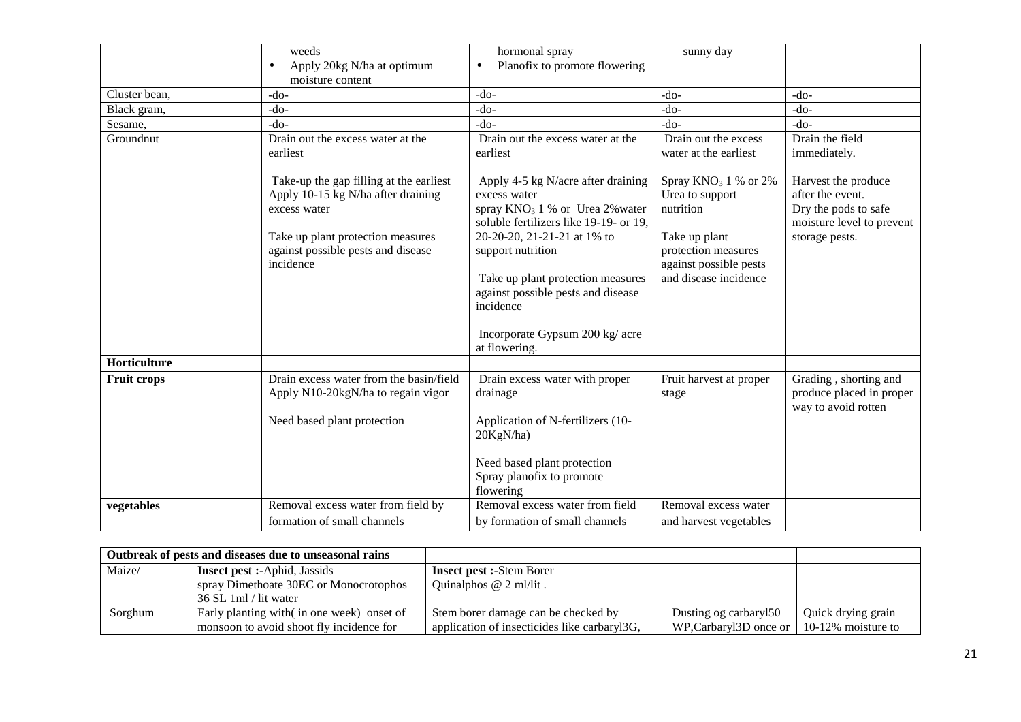|                    | weeds<br>Apply 20kg N/ha at optimum<br>$\bullet$<br>moisture content                                                                                                                  | hormonal spray<br>Planofix to promote flowering<br>$\bullet$                                                                                                                                                                                                                                                                       | sunny day                                                                                                                                         |                                                                                                                |
|--------------------|---------------------------------------------------------------------------------------------------------------------------------------------------------------------------------------|------------------------------------------------------------------------------------------------------------------------------------------------------------------------------------------------------------------------------------------------------------------------------------------------------------------------------------|---------------------------------------------------------------------------------------------------------------------------------------------------|----------------------------------------------------------------------------------------------------------------|
| Cluster bean,      | $-do-$                                                                                                                                                                                | $-do-$                                                                                                                                                                                                                                                                                                                             | $-do-$                                                                                                                                            | $-do-$                                                                                                         |
| Black gram,        | $-do-$                                                                                                                                                                                | $-do-$                                                                                                                                                                                                                                                                                                                             | $-do-$                                                                                                                                            | $-do-$                                                                                                         |
| Sesame,            | $-do-$                                                                                                                                                                                | $-do-$                                                                                                                                                                                                                                                                                                                             | $-do-$                                                                                                                                            | $-do-$                                                                                                         |
| Groundnut          | Drain out the excess water at the<br>earliest                                                                                                                                         | Drain out the excess water at the<br>earliest                                                                                                                                                                                                                                                                                      | Drain out the excess<br>water at the earliest                                                                                                     | Drain the field<br>immediately.                                                                                |
|                    | Take-up the gap filling at the earliest<br>Apply 10-15 kg N/ha after draining<br>excess water<br>Take up plant protection measures<br>against possible pests and disease<br>incidence | Apply 4-5 kg N/acre after draining<br>excess water<br>spray $KNO_3$ 1 % or Urea 2% water<br>soluble fertilizers like 19-19- or 19,<br>20-20-20, 21-21-21 at 1% to<br>support nutrition<br>Take up plant protection measures<br>against possible pests and disease<br>incidence<br>Incorporate Gypsum 200 kg/ acre<br>at flowering. | Spray $KNO3 1 %$ or 2%<br>Urea to support<br>nutrition<br>Take up plant<br>protection measures<br>against possible pests<br>and disease incidence | Harvest the produce<br>after the event.<br>Dry the pods to safe<br>moisture level to prevent<br>storage pests. |
| Horticulture       |                                                                                                                                                                                       |                                                                                                                                                                                                                                                                                                                                    |                                                                                                                                                   |                                                                                                                |
| <b>Fruit crops</b> | Drain excess water from the basin/field<br>Apply N10-20kgN/ha to regain vigor<br>Need based plant protection                                                                          | Drain excess water with proper<br>drainage<br>Application of N-fertilizers (10-<br>20KgN/ha)                                                                                                                                                                                                                                       | Fruit harvest at proper<br>stage                                                                                                                  | Grading, shorting and<br>produce placed in proper<br>way to avoid rotten                                       |
|                    |                                                                                                                                                                                       | Need based plant protection<br>Spray planofix to promote<br>flowering                                                                                                                                                                                                                                                              |                                                                                                                                                   |                                                                                                                |
| vegetables         | Removal excess water from field by<br>formation of small channels                                                                                                                     | Removal excess water from field<br>by formation of small channels                                                                                                                                                                                                                                                                  | Removal excess water<br>and harvest vegetables                                                                                                    |                                                                                                                |

| Outbreak of pests and diseases due to unseasonal rains |                                            |                                              |                                       |                    |
|--------------------------------------------------------|--------------------------------------------|----------------------------------------------|---------------------------------------|--------------------|
| Maize/                                                 | <b>Insect pest :-</b> Aphid, Jassids       | <b>Insect pest :-Stem Borer</b>              |                                       |                    |
|                                                        | spray Dimethoate 30EC or Monocrotophos     | Quinalphos $@$ 2 ml/lit.                     |                                       |                    |
|                                                        | 36 SL 1 ml / lit water                     |                                              |                                       |                    |
| Sorghum                                                | Early planting with (in one week) onset of | Stem borer damage can be checked by          | Dusting og carbaryl50                 | Quick drying grain |
|                                                        | monsoon to avoid shoot fly incidence for   | application of insecticides like carbaryl3G, | WP, Carbary $13D$ once or $\parallel$ | 10-12% moisture to |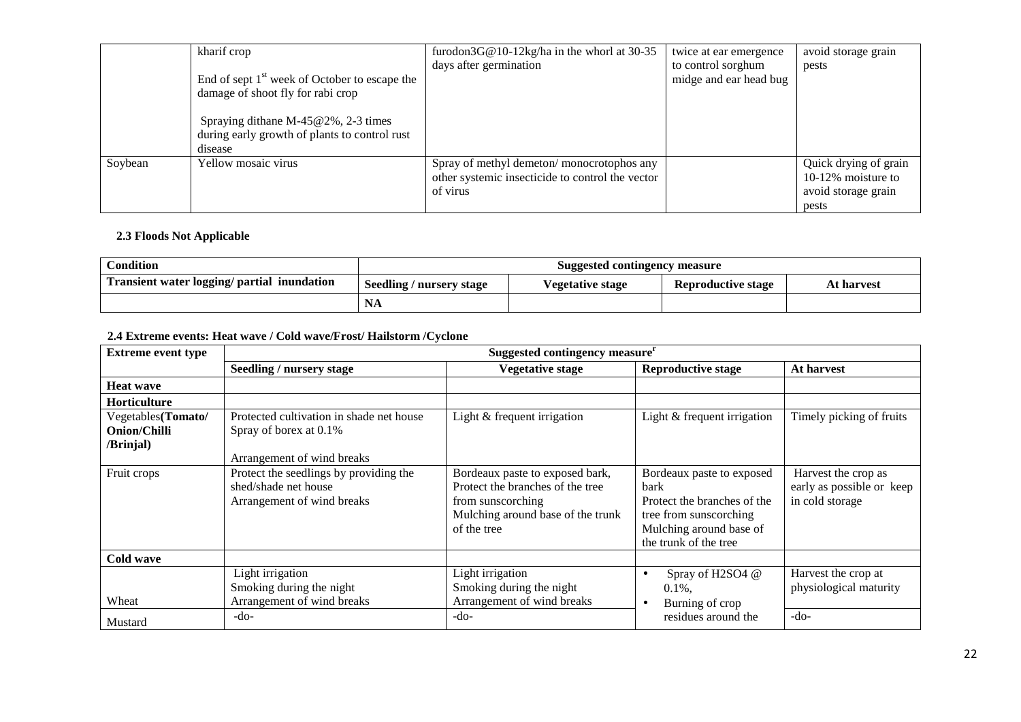|         | kharif crop                                     | furodon $3G@10-12kg/ha$ in the whorl at 30-35    | twice at ear emergence | avoid storage grain   |
|---------|-------------------------------------------------|--------------------------------------------------|------------------------|-----------------------|
|         |                                                 | days after germination                           | to control sorghum     | pests                 |
|         | End of sept $1st$ week of October to escape the |                                                  | midge and ear head bug |                       |
|         | damage of shoot fly for rabi crop               |                                                  |                        |                       |
|         |                                                 |                                                  |                        |                       |
|         | Spraying dithane M-45@2%, 2-3 times             |                                                  |                        |                       |
|         | during early growth of plants to control rust   |                                                  |                        |                       |
|         | disease                                         |                                                  |                        |                       |
| Soybean | Yellow mosaic virus                             | Spray of methyl demeton/monocrotophos any        |                        | Quick drying of grain |
|         |                                                 | other systemic insecticide to control the vector |                        | 10-12\% moisture to   |
|         |                                                 | of virus                                         |                        | avoid storage grain   |
|         |                                                 |                                                  |                        | pests                 |

#### **2.3 Floods Not Applicable**

| <b>Condition</b>                            | Suggested contingency measure |                  |                    |            |
|---------------------------------------------|-------------------------------|------------------|--------------------|------------|
| Transient water logging/ partial inundation | Seedling / nursery stage      | Vegetative stage | Reproductive stage | At harvest |
|                                             | <b>NA</b>                     |                  |                    |            |

#### **2.4 Extreme events: Heat wave / Cold wave/Frost/ Hailstorm /Cyclone**

| <b>Extreme event type</b> | Suggested contingency measure <sup>r</sup> |                                   |                             |                           |  |
|---------------------------|--------------------------------------------|-----------------------------------|-----------------------------|---------------------------|--|
|                           | Seedling / nursery stage                   | <b>Vegetative stage</b>           | <b>Reproductive stage</b>   | At harvest                |  |
| <b>Heat wave</b>          |                                            |                                   |                             |                           |  |
| <b>Horticulture</b>       |                                            |                                   |                             |                           |  |
| Vegetables(Tomato/        | Protected cultivation in shade net house   | Light $&$ frequent irrigation     | Light & frequent irrigation | Timely picking of fruits  |  |
| <b>Onion/Chilli</b>       | Spray of borex at 0.1%                     |                                   |                             |                           |  |
| /Brinjal)                 |                                            |                                   |                             |                           |  |
|                           | Arrangement of wind breaks                 |                                   |                             |                           |  |
| Fruit crops               | Protect the seedlings by providing the     | Bordeaux paste to exposed bark,   | Bordeaux paste to exposed   | Harvest the crop as       |  |
|                           | shed/shade net house                       | Protect the branches of the tree  | bark                        | early as possible or keep |  |
|                           | Arrangement of wind breaks                 | from sunscorching                 | Protect the branches of the | in cold storage           |  |
|                           |                                            | Mulching around base of the trunk | tree from sunscorching      |                           |  |
|                           |                                            | of the tree                       | Mulching around base of     |                           |  |
|                           |                                            |                                   | the trunk of the tree       |                           |  |
| Cold wave                 |                                            |                                   |                             |                           |  |
|                           | Light irrigation                           | Light irrigation                  | Spray of H2SO4 @            | Harvest the crop at       |  |
|                           | Smoking during the night                   | Smoking during the night          | $0.1\%$ .                   | physiological maturity    |  |
| Wheat                     | Arrangement of wind breaks                 | Arrangement of wind breaks        | Burning of crop             |                           |  |
| Mustard                   | $-do-$                                     | $-do-$                            | residues around the         | $-do-$                    |  |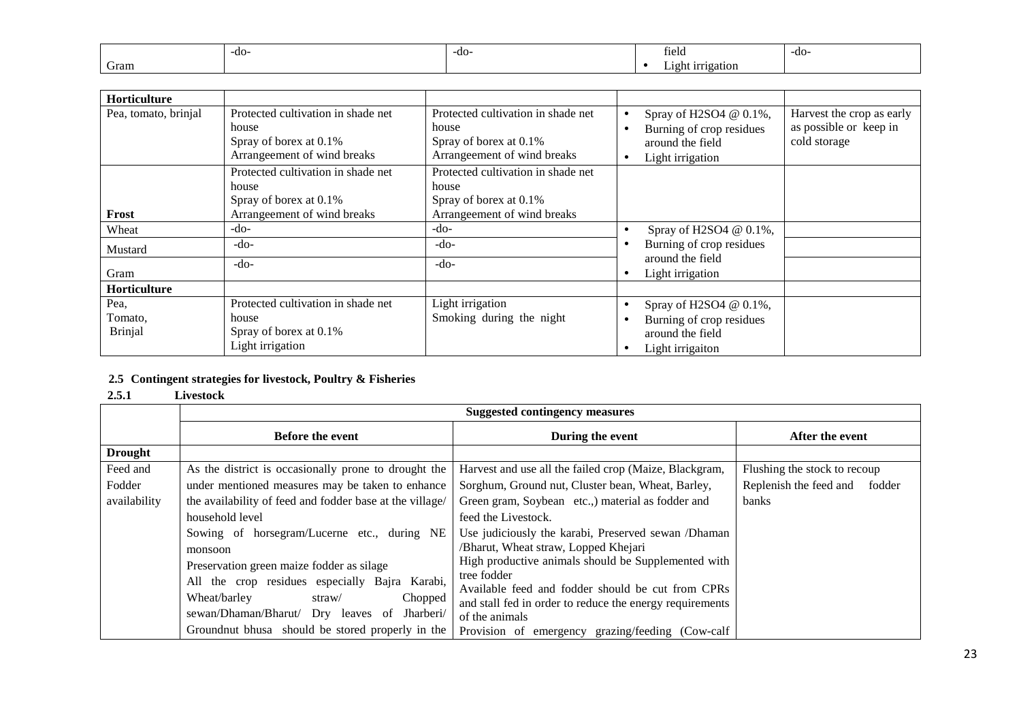|      | -do- | -do- | field                   | -do- |
|------|------|------|-------------------------|------|
| Gram |      |      | 1rrigation<br>10 h<br>. |      |

| <b>Horticulture</b>  |                                                                                                      |                                                                                                      |           |                                                                                            |                                                                     |
|----------------------|------------------------------------------------------------------------------------------------------|------------------------------------------------------------------------------------------------------|-----------|--------------------------------------------------------------------------------------------|---------------------------------------------------------------------|
| Pea, tomato, brinjal | Protected cultivation in shade net<br>house<br>Spray of borex at 0.1%<br>Arrangeement of wind breaks | Protected cultivation in shade net<br>house<br>Spray of borex at 0.1%<br>Arrangeement of wind breaks | $\bullet$ | Spray of H2SO4 @ 0.1%,<br>Burning of crop residues<br>around the field<br>Light irrigation | Harvest the crop as early<br>as possible or keep in<br>cold storage |
| Frost                | Protected cultivation in shade net<br>house<br>Spray of borex at 0.1%<br>Arrangeement of wind breaks | Protected cultivation in shade net<br>house<br>Spray of borex at 0.1%<br>Arrangeement of wind breaks |           |                                                                                            |                                                                     |
| Wheat                | $-do-$                                                                                               | -do-                                                                                                 |           | Spray of H2SO4 @ 0.1%,                                                                     |                                                                     |
| Mustard              | $-do-$                                                                                               | $-do-$                                                                                               |           | Burning of crop residues                                                                   |                                                                     |
| Gram                 | $-do-$                                                                                               | $-do-$                                                                                               |           | around the field<br>Light irrigation                                                       |                                                                     |
| <b>Horticulture</b>  |                                                                                                      |                                                                                                      |           |                                                                                            |                                                                     |
| Pea,                 | Protected cultivation in shade net                                                                   | Light irrigation                                                                                     |           | Spray of H2SO4 @ 0.1%,                                                                     |                                                                     |
| Tomato,              | house                                                                                                | Smoking during the night                                                                             |           | Burning of crop residues                                                                   |                                                                     |
| Brinjal              | Spray of borex at 0.1%<br>Light irrigation                                                           |                                                                                                      |           | around the field<br>Light irrigaiton                                                       |                                                                     |

#### **2.5 Contingent strategies for livestock, Poultry & Fisheries**

#### **2.5.1 Livestock**

|                | <b>Before the event</b>                                  | During the event                                         | After the event                  |
|----------------|----------------------------------------------------------|----------------------------------------------------------|----------------------------------|
| <b>Drought</b> |                                                          |                                                          |                                  |
| Feed and       | As the district is occasionally prone to drought the     | Harvest and use all the failed crop (Maize, Blackgram,   | Flushing the stock to recoup     |
| Fodder         | under mentioned measures may be taken to enhance         | Sorghum, Ground nut, Cluster bean, Wheat, Barley,        | Replenish the feed and<br>fodder |
| availability   | the availability of feed and fodder base at the village/ | Green gram, Soybean etc.,) material as fodder and        | <b>banks</b>                     |
|                | household level                                          | feed the Livestock.                                      |                                  |
|                | Sowing of horsegram/Lucerne etc., during NE              | Use judiciously the karabi, Preserved sewan /Dhaman      |                                  |
|                | monsoon                                                  | /Bharut, Wheat straw, Lopped Khejari                     |                                  |
|                | Preservation green maize fodder as silage                | High productive animals should be Supplemented with      |                                  |
|                | All the crop residues especially Bajra Karabi,           | tree fodder                                              |                                  |
|                | Wheat/barley<br>Chopped<br>straw/                        | Available feed and fodder should be cut from CPRs        |                                  |
|                | sewan/Dhaman/Bharut/ Dry leaves of Jharberi/             | and stall fed in order to reduce the energy requirements |                                  |
|                |                                                          | of the animals                                           |                                  |
|                | Groundnut bhusa should be stored properly in the         | Provision of emergency grazing/feeding (Cow-calf         |                                  |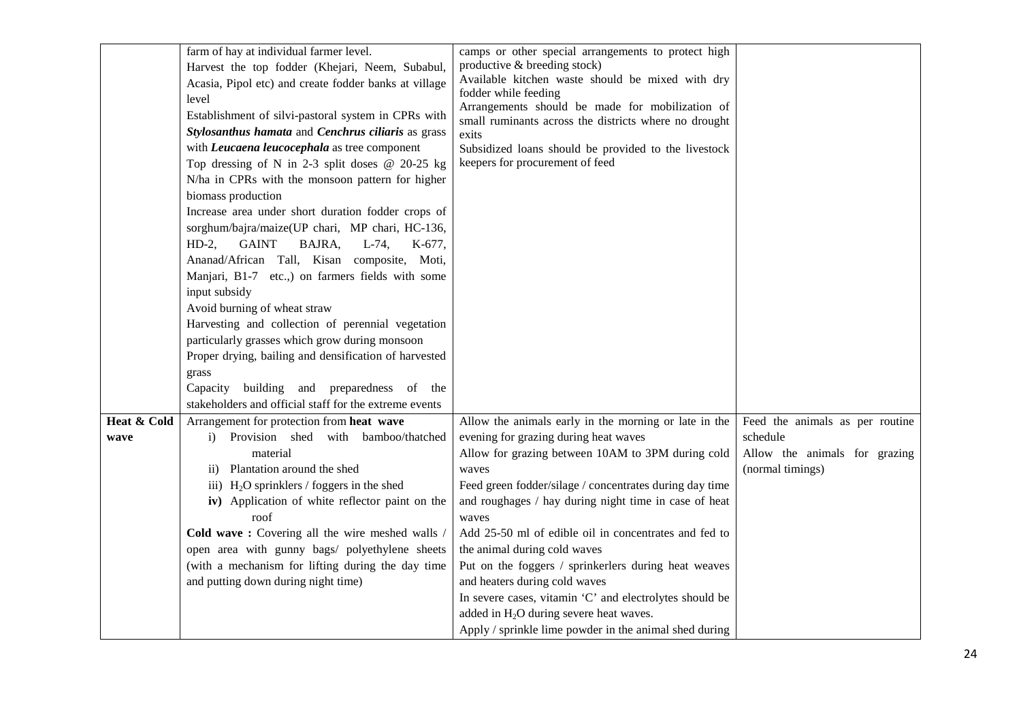|             | farm of hay at individual farmer level.                    | camps or other special arrangements to protect high                                     |                                                   |
|-------------|------------------------------------------------------------|-----------------------------------------------------------------------------------------|---------------------------------------------------|
|             | Harvest the top fodder (Khejari, Neem, Subabul,            | productive & breeding stock)                                                            |                                                   |
|             | Acasia, Pipol etc) and create fodder banks at village      | Available kitchen waste should be mixed with dry                                        |                                                   |
|             | level                                                      | fodder while feeding                                                                    |                                                   |
|             | Establishment of silvi-pastoral system in CPRs with        | Arrangements should be made for mobilization of                                         |                                                   |
|             | Stylosanthus hamata and Cenchrus ciliaris as grass         | small ruminants across the districts where no drought                                   |                                                   |
|             | with <i>Leucaena leucocephala</i> as tree component        | exits                                                                                   |                                                   |
|             | Top dressing of N in 2-3 split doses $@$ 20-25 kg          | Subsidized loans should be provided to the livestock<br>keepers for procurement of feed |                                                   |
|             | N/ha in CPRs with the monsoon pattern for higher           |                                                                                         |                                                   |
|             | biomass production                                         |                                                                                         |                                                   |
|             | Increase area under short duration fodder crops of         |                                                                                         |                                                   |
|             | sorghum/bajra/maize(UP chari, MP chari, HC-136,            |                                                                                         |                                                   |
|             | $HD-2,$<br><b>GAINT</b><br>BAJRA,<br>$L-74$ ,<br>$K-677$ . |                                                                                         |                                                   |
|             | Ananad/African Tall, Kisan composite, Moti,                |                                                                                         |                                                   |
|             | Manjari, B1-7 etc.,) on farmers fields with some           |                                                                                         |                                                   |
|             | input subsidy                                              |                                                                                         |                                                   |
|             | Avoid burning of wheat straw                               |                                                                                         |                                                   |
|             | Harvesting and collection of perennial vegetation          |                                                                                         |                                                   |
|             | particularly grasses which grow during monsoon             |                                                                                         |                                                   |
|             | Proper drying, bailing and densification of harvested      |                                                                                         |                                                   |
|             |                                                            |                                                                                         |                                                   |
|             | grass<br>building and preparedness of the<br>Capacity      |                                                                                         |                                                   |
|             | stakeholders and official staff for the extreme events     |                                                                                         |                                                   |
|             |                                                            | Allow the animals early in the morning or late in the                                   |                                                   |
| Heat & Cold | Arrangement for protection from heat wave                  |                                                                                         | Feed the animals as per routine                   |
| wave        | Provision shed with bamboo/thatched<br>i)                  | evening for grazing during heat waves                                                   | schedule                                          |
|             | material<br>ii) Plantation around the shed                 | Allow for grazing between 10AM to 3PM during cold                                       | Allow the animals for grazing<br>(normal timings) |
|             | iii) $H_2O$ sprinklers / foggers in the shed               | waves<br>Feed green fodder/silage / concentrates during day time                        |                                                   |
|             | iv) Application of white reflector paint on the            | and roughages / hay during night time in case of heat                                   |                                                   |
|             | roof                                                       | waves                                                                                   |                                                   |
|             | Cold wave: Covering all the wire meshed walls /            | Add 25-50 ml of edible oil in concentrates and fed to                                   |                                                   |
|             | open area with gunny bags/ polyethylene sheets             | the animal during cold waves                                                            |                                                   |
|             | (with a mechanism for lifting during the day time          | Put on the foggers / sprinkerlers during heat weaves                                    |                                                   |
|             | and putting down during night time)                        | and heaters during cold waves                                                           |                                                   |
|             |                                                            | In severe cases, vitamin 'C' and electrolytes should be                                 |                                                   |
|             |                                                            | added in $H_2O$ during severe heat waves.                                               |                                                   |
|             |                                                            | Apply / sprinkle lime powder in the animal shed during                                  |                                                   |
|             |                                                            |                                                                                         |                                                   |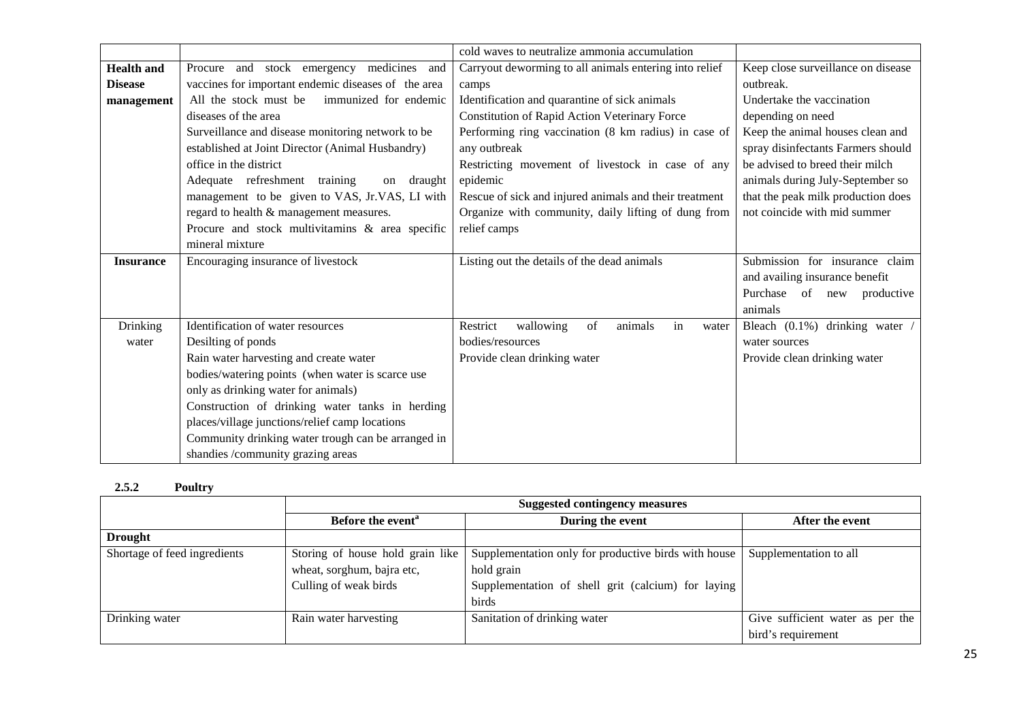|                   |                                                                                         | cold waves to neutralize ammonia accumulation          |                                    |
|-------------------|-----------------------------------------------------------------------------------------|--------------------------------------------------------|------------------------------------|
| <b>Health</b> and | Procure and stock emergency medicines and                                               | Carryout deworming to all animals entering into relief | Keep close surveillance on disease |
| <b>Disease</b>    | vaccines for important endemic diseases of the area                                     | camps                                                  | outbreak.                          |
| management        | All the stock must be<br>immunized for endemic                                          | Identification and quarantine of sick animals          | Undertake the vaccination          |
|                   | diseases of the area                                                                    | Constitution of Rapid Action Veterinary Force          | depending on need                  |
|                   | Surveillance and disease monitoring network to be                                       | Performing ring vaccination (8 km radius) in case of   | Keep the animal houses clean and   |
|                   | established at Joint Director (Animal Husbandry)                                        | any outbreak                                           | spray disinfectants Farmers should |
|                   | office in the district                                                                  | Restricting movement of livestock in case of any       | be advised to breed their milch    |
|                   | Adequate refreshment training<br>on draught                                             | epidemic                                               | animals during July-September so   |
|                   | management to be given to VAS, Jr.VAS, LI with                                          | Rescue of sick and injured animals and their treatment | that the peak milk production does |
|                   | regard to health & management measures.                                                 | Organize with community, daily lifting of dung from    | not coincide with mid summer       |
|                   | Procure and stock multivitamins & area specific                                         | relief camps                                           |                                    |
|                   | mineral mixture                                                                         |                                                        |                                    |
| <b>Insurance</b>  | Encouraging insurance of livestock                                                      | Listing out the details of the dead animals            | Submission for insurance claim     |
|                   |                                                                                         |                                                        | and availing insurance benefit     |
|                   |                                                                                         |                                                        | Purchase of new productive         |
|                   |                                                                                         |                                                        | animals                            |
| <b>Drinking</b>   | Identification of water resources                                                       | Restrict<br>wallowing<br>of<br>animals<br>in<br>water  | Bleach (0.1%) drinking water       |
| water             | Desilting of ponds                                                                      | bodies/resources                                       | water sources                      |
|                   | Rain water harvesting and create water                                                  | Provide clean drinking water                           | Provide clean drinking water       |
|                   |                                                                                         |                                                        |                                    |
|                   | bodies/watering points (when water is scarce use                                        |                                                        |                                    |
|                   | only as drinking water for animals)                                                     |                                                        |                                    |
|                   | Construction of drinking water tanks in herding                                         |                                                        |                                    |
|                   | places/village junctions/relief camp locations                                          |                                                        |                                    |
|                   | Community drinking water trough can be arranged in<br>shandies /community grazing areas |                                                        |                                    |

#### **2.5.2Poultry**

|                              | <b>Suggested contingency measures</b> |                                                      |                                  |  |
|------------------------------|---------------------------------------|------------------------------------------------------|----------------------------------|--|
|                              | Before the event <sup>a</sup>         | During the event                                     | After the event                  |  |
| <b>Drought</b>               |                                       |                                                      |                                  |  |
| Shortage of feed ingredients | Storing of house hold grain like      | Supplementation only for productive birds with house | Supplementation to all           |  |
|                              | wheat, sorghum, bajra etc,            | hold grain                                           |                                  |  |
|                              | Culling of weak birds                 | Supplementation of shell grit (calcium) for laying   |                                  |  |
|                              |                                       | <b>birds</b>                                         |                                  |  |
| Drinking water               | Rain water harvesting                 | Sanitation of drinking water                         | Give sufficient water as per the |  |
|                              |                                       |                                                      | bird's requirement               |  |